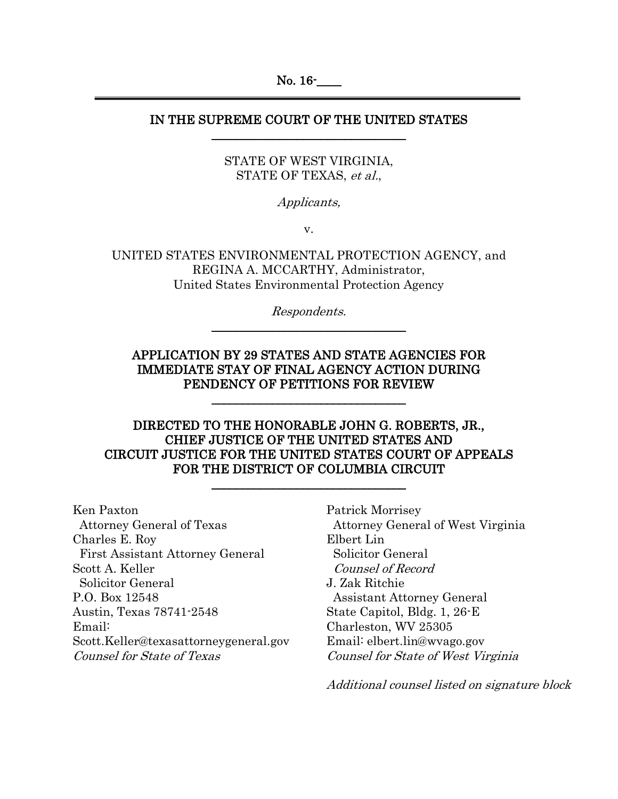No. 16<sup>-</sup>  $\overline{a}$ 

### IN THE SUPREME COURT OF THE UNITED STATES \_\_\_\_\_\_\_\_\_\_\_\_\_\_\_\_\_\_\_\_\_\_\_\_\_\_\_\_\_\_\_\_

## STATE OF WEST VIRGINIA, STATE OF TEXAS, et al.,

Applicants,

v.

UNITED STATES ENVIRONMENTAL PROTECTION AGENCY, and REGINA A. MCCARTHY, Administrator, United States Environmental Protection Agency

> Respondents. \_\_\_\_\_\_\_\_\_\_\_\_\_\_\_\_\_\_\_\_\_\_\_\_\_\_\_\_\_\_\_\_

## APPLICATION BY 29 STATES AND STATE AGENCIES FOR IMMEDIATE STAY OF FINAL AGENCY ACTION DURING PENDENCY OF PETITIONS FOR REVIEW

\_\_\_\_\_\_\_\_\_\_\_\_\_\_\_\_\_\_\_\_\_\_\_\_\_\_\_\_\_\_\_\_

## DIRECTED TO THE HONORABLE JOHN G. ROBERTS, JR., CHIEF JUSTICE OF THE UNITED STATES AND CIRCUIT JUSTICE FOR THE UNITED STATES COURT OF APPEALS FOR THE DISTRICT OF COLUMBIA CIRCUIT

\_\_\_\_\_\_\_\_\_\_\_\_\_\_\_\_\_\_\_\_\_\_\_\_\_\_\_\_\_\_\_\_

Ken Paxton Attorney General of Texas Charles E. Roy First Assistant Attorney General Scott A. Keller Solicitor General P.O. Box 12548 Austin, Texas 78741-2548 Email: Scott.Keller@texasattorneygeneral.gov Counsel for State of Texas

Patrick Morrisey Attorney General of West Virginia Elbert Lin Solicitor General Counsel of Record J. Zak Ritchie Assistant Attorney General State Capitol, Bldg. 1, 26-E Charleston, WV 25305 Email: elbert.lin@wvago.gov Counsel for State of West Virginia

Additional counsel listed on signature block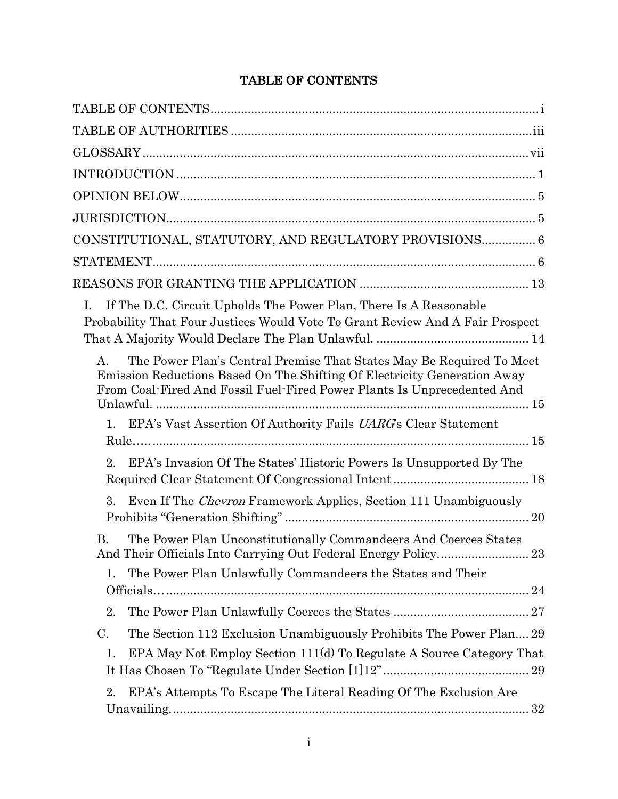## TABLE OF CONTENTS

<span id="page-1-0"></span>

| CONSTITUTIONAL, STATUTORY, AND REGULATORY PROVISIONS 6                                                                                                                                                                                     |
|--------------------------------------------------------------------------------------------------------------------------------------------------------------------------------------------------------------------------------------------|
|                                                                                                                                                                                                                                            |
|                                                                                                                                                                                                                                            |
| If The D.C. Circuit Upholds The Power Plan, There Is A Reasonable<br>Ι.<br>Probability That Four Justices Would Vote To Grant Review And A Fair Prospect                                                                                   |
| The Power Plan's Central Premise That States May Be Required To Meet<br>$A_{\cdot}$<br>Emission Reductions Based On The Shifting Of Electricity Generation Away<br>From Coal-Fired And Fossil Fuel-Fired Power Plants Is Unprecedented And |
| EPA's Vast Assertion Of Authority Fails <i>UARG</i> 's Clear Statement<br>1.                                                                                                                                                               |
| EPA's Invasion Of The States' Historic Powers Is Unsupported By The<br>2.                                                                                                                                                                  |
| Even If The <i>Chevron</i> Framework Applies, Section 111 Unambiguously<br>3.                                                                                                                                                              |
| The Power Plan Unconstitutionally Commandeers And Coerces States<br><b>B.</b><br>And Their Officials Into Carrying Out Federal Energy Policy 23                                                                                            |
| The Power Plan Unlawfully Commandeers the States and Their<br>1.                                                                                                                                                                           |
| 2.                                                                                                                                                                                                                                         |
| The Section 112 Exclusion Unambiguously Prohibits The Power Plan 29<br>C.                                                                                                                                                                  |
| EPA May Not Employ Section 111(d) To Regulate A Source Category That<br>1.                                                                                                                                                                 |
| EPA's Attempts To Escape The Literal Reading Of The Exclusion Are<br>2.                                                                                                                                                                    |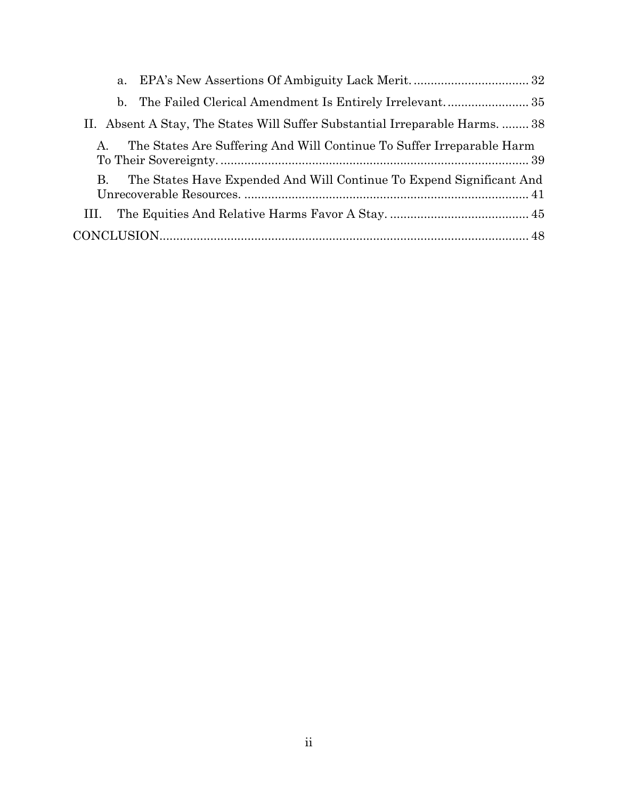| b.                                                                               |  |
|----------------------------------------------------------------------------------|--|
| II. Absent A Stay, The States Will Suffer Substantial Irreparable Harms.  38     |  |
| The States Are Suffering And Will Continue To Suffer Irreparable Harm<br>$A_{-}$ |  |
| The States Have Expended And Will Continue To Expend Significant And<br>B.       |  |
| HI.                                                                              |  |
|                                                                                  |  |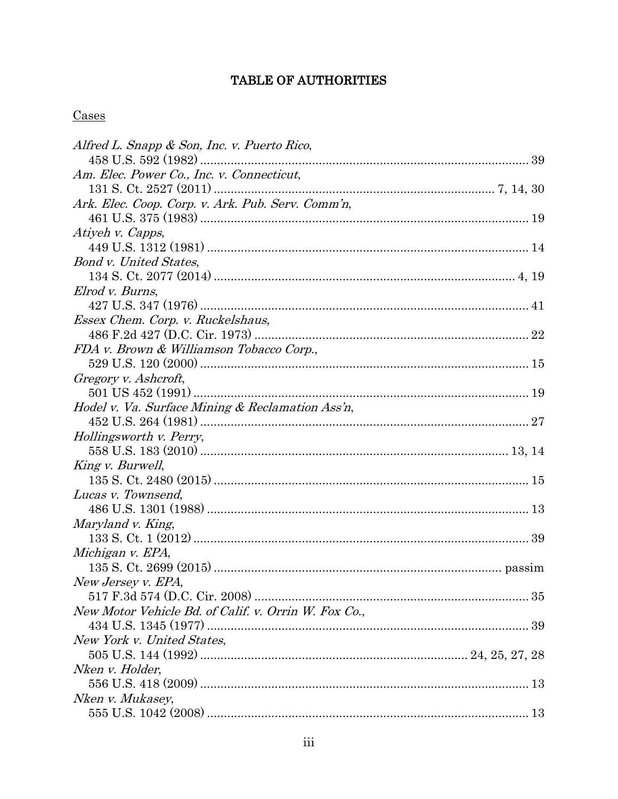## TABLE OF AUTHORITIES

## <span id="page-3-0"></span>Cases

| Alfred L. Snapp & Son, Inc. v. Puerto Rico,          |  |
|------------------------------------------------------|--|
|                                                      |  |
| Am. Elec. Power Co., Inc. v. Connecticut.            |  |
|                                                      |  |
| Ark. Elec. Coop. Corp. v. Ark. Pub. Serv. Comm'n,    |  |
|                                                      |  |
| Atiyeh v. Capps,                                     |  |
|                                                      |  |
| <b>Bond v. United States,</b>                        |  |
|                                                      |  |
| Elrod v. Burns,                                      |  |
|                                                      |  |
| Essex Chem. Corp. v. Ruckelshaus,                    |  |
|                                                      |  |
| FDA v. Brown & Williamson Tobacco Corp.,             |  |
|                                                      |  |
| Gregory v. Ashcroft,                                 |  |
|                                                      |  |
| Hodel v. Va. Surface Mining & Reclamation Ass'n,     |  |
|                                                      |  |
| Hollingsworth v. Perry,                              |  |
|                                                      |  |
| King v. Burwell,                                     |  |
|                                                      |  |
| Lucas v. Townsend,                                   |  |
|                                                      |  |
| Maryland v. King,                                    |  |
|                                                      |  |
| Michigan v. EPA,                                     |  |
|                                                      |  |
| New Jersey v. EPA,                                   |  |
|                                                      |  |
| New Motor Vehicle Bd. of Calif. v. Orrin W. Fox Co., |  |
|                                                      |  |
| New York v. United States,                           |  |
|                                                      |  |
| Nken v. Holder,                                      |  |
|                                                      |  |
| Nken v. Mukasey,                                     |  |
|                                                      |  |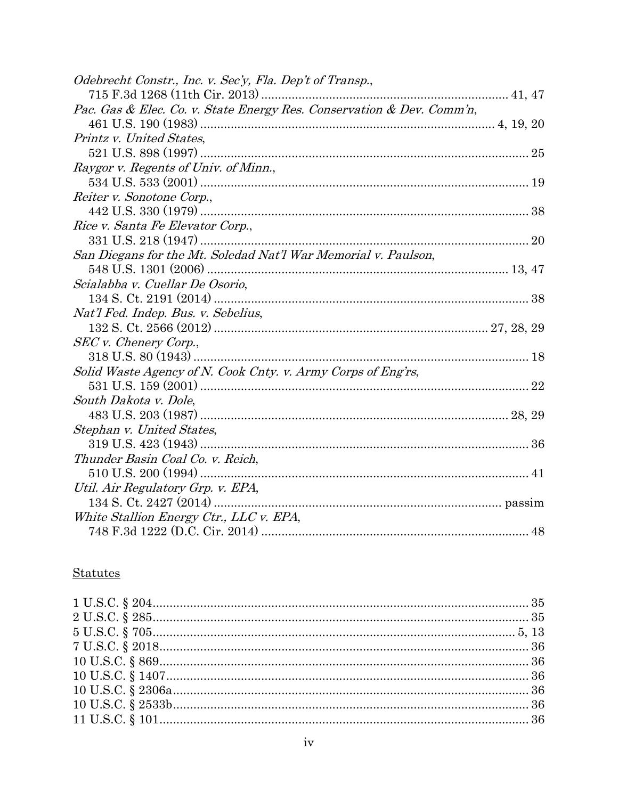| Odebrecht Constr., Inc. v. Sec'y, Fla. Dep't of Transp.,              |  |
|-----------------------------------------------------------------------|--|
|                                                                       |  |
| Pac. Gas & Elec. Co. v. State Energy Res. Conservation & Dev. Comm'n, |  |
|                                                                       |  |
| Printz v. United States,                                              |  |
|                                                                       |  |
| Raygor v. Regents of Univ. of Minn.,                                  |  |
|                                                                       |  |
| Reiter v. Sonotone Corp.,                                             |  |
|                                                                       |  |
| Rice v. Santa Fe Elevator Corp.,                                      |  |
|                                                                       |  |
| San Diegans for the Mt. Soledad Nat'l War Memorial v. Paulson,        |  |
|                                                                       |  |
| Scialabba v. Cuellar De Osorio,                                       |  |
|                                                                       |  |
| Nat'l Fed. Indep. Bus. v. Sebelius,                                   |  |
|                                                                       |  |
| SEC v. Chenery Corp.,                                                 |  |
|                                                                       |  |
| Solid Waste Agency of N. Cook Cnty. v. Army Corps of Eng'rs,          |  |
|                                                                       |  |
| South Dakota v. Dole,                                                 |  |
|                                                                       |  |
| Stephan v. United States,                                             |  |
|                                                                       |  |
| Thunder Basin Coal Co. v. Reich,                                      |  |
|                                                                       |  |
| Util. Air Regulatory Grp. v. EPA,                                     |  |
|                                                                       |  |
| White Stallion Energy Ctr., LLC v. EPA,                               |  |
|                                                                       |  |

## **Statutes**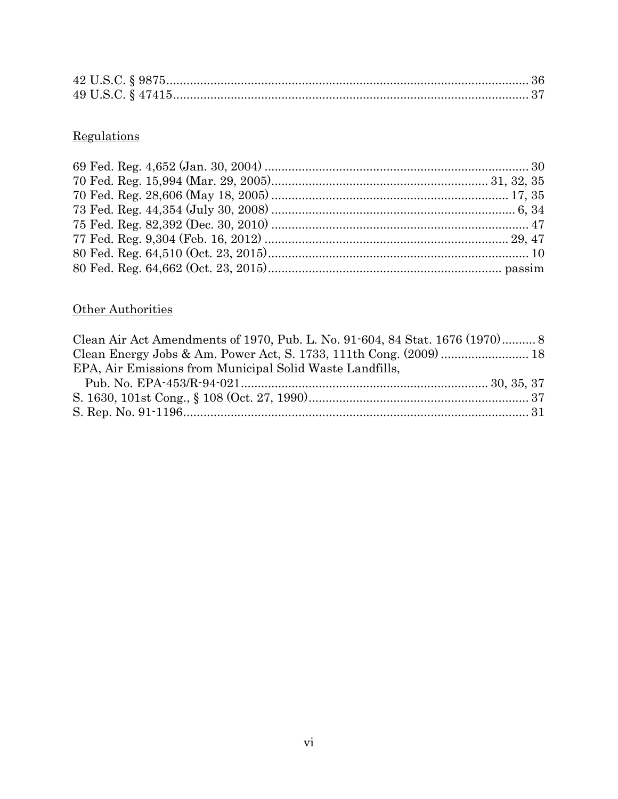# Regulations

# Other Authorities

| Clean Air Act Amendments of 1970, Pub. L. No. 91-604, 84 Stat. 1676 (1970) 8 |  |
|------------------------------------------------------------------------------|--|
|                                                                              |  |
| EPA, Air Emissions from Municipal Solid Waste Landfills,                     |  |
|                                                                              |  |
|                                                                              |  |
|                                                                              |  |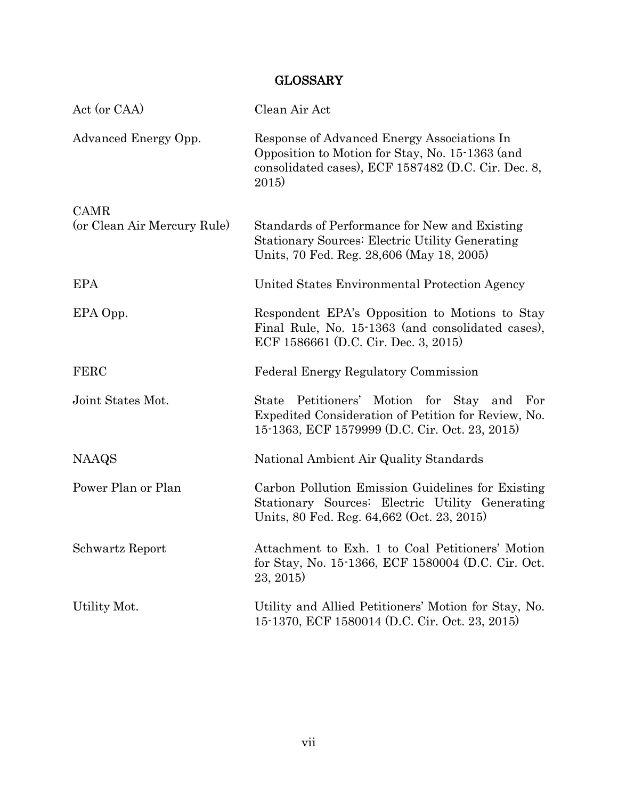## GLOSSARY

<span id="page-7-0"></span>

| Act (or CAA)                | Clean Air Act                                                                                                                                                  |
|-----------------------------|----------------------------------------------------------------------------------------------------------------------------------------------------------------|
| Advanced Energy Opp.        | Response of Advanced Energy Associations In<br>Opposition to Motion for Stay, No. 15-1363 (and<br>consolidated cases), ECF 1587482 (D.C. Cir. Dec. 8,<br>2015) |
| <b>CAMR</b>                 |                                                                                                                                                                |
| (or Clean Air Mercury Rule) | Standards of Performance for New and Existing<br><b>Stationary Sources: Electric Utility Generating</b><br>Units, 70 Fed. Reg. 28,606 (May 18, 2005)           |
| <b>EPA</b>                  | United States Environmental Protection Agency                                                                                                                  |
| EPA Opp.                    | Respondent EPA's Opposition to Motions to Stay<br>Final Rule, No. 15-1363 (and consolidated cases),<br>ECF 1586661 (D.C. Cir. Dec. 3, 2015)                    |
| <b>FERC</b>                 | Federal Energy Regulatory Commission                                                                                                                           |
| Joint States Mot.           | State Petitioners' Motion for Stay and<br>For<br>Expedited Consideration of Petition for Review, No.<br>15-1363, ECF 1579999 (D.C. Cir. Oct. 23, 2015)         |
| <b>NAAQS</b>                | National Ambient Air Quality Standards                                                                                                                         |
| Power Plan or Plan          | Carbon Pollution Emission Guidelines for Existing<br>Stationary Sources: Electric Utility Generating<br>Units, 80 Fed. Reg. 64,662 (Oct. 23, 2015)             |
| Schwartz Report             | Attachment to Exh. 1 to Coal Petitioners' Motion<br>for Stay, No. 15-1366, ECF 1580004 (D.C. Cir. Oct.<br>23, 2015                                             |
| Utility Mot.                | Utility and Allied Petitioners' Motion for Stay, No.<br>15-1370, ECF 1580014 (D.C. Cir. Oct. 23, 2015)                                                         |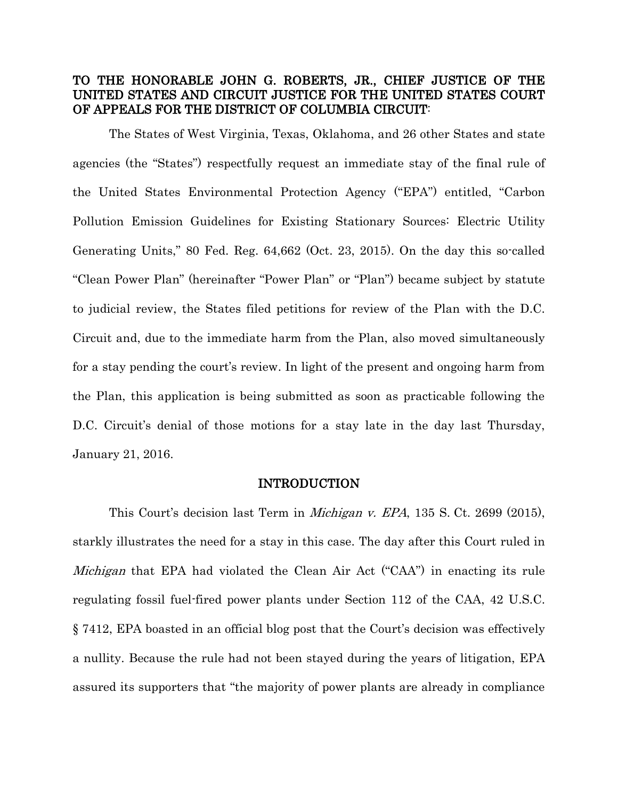## TO THE HONORABLE JOHN G. ROBERTS, JR., CHIEF JUSTICE OF THE UNITED STATES AND CIRCUIT JUSTICE FOR THE UNITED STATES COURT OF APPEALS FOR THE DISTRICT OF COLUMBIA CIRCUIT:

The States of West Virginia, Texas, Oklahoma, and 26 other States and state agencies (the "States") respectfully request an immediate stay of the final rule of the United States Environmental Protection Agency ("EPA") entitled, "Carbon Pollution Emission Guidelines for Existing Stationary Sources: Electric Utility Generating Units," 80 Fed. Reg. 64,662 (Oct. 23, 2015). On the day this so-called "Clean Power Plan" (hereinafter "Power Plan" or "Plan") became subject by statute to judicial review, the States filed petitions for review of the Plan with the D.C. Circuit and, due to the immediate harm from the Plan, also moved simultaneously for a stay pending the court's review. In light of the present and ongoing harm from the Plan, this application is being submitted as soon as practicable following the D.C. Circuit's denial of those motions for a stay late in the day last Thursday, January 21, 2016.

#### INTRODUCTION

<span id="page-8-0"></span>This Court's decision last Term in Michigan v. EPA, 135 S. Ct. 2699 (2015), starkly illustrates the need for a stay in this case. The day after this Court ruled in Michigan that EPA had violated the Clean Air Act ("CAA") in enacting its rule regulating fossil fuel-fired power plants under Section 112 of the CAA, 42 U.S.C. § 7412, EPA boasted in an official blog post that the Court's decision was effectively a nullity. Because the rule had not been stayed during the years of litigation, EPA assured its supporters that "the majority of power plants are already in compliance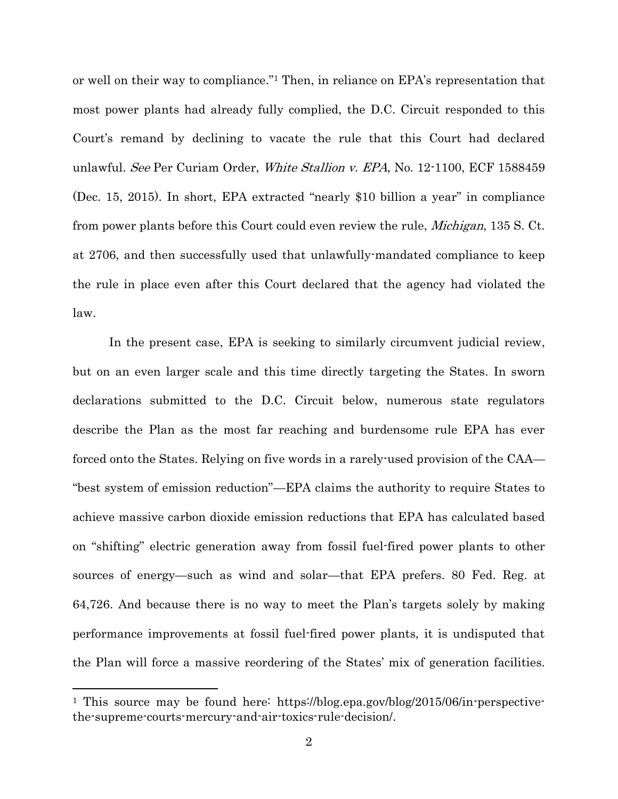or well on their way to compliance."<sup>1</sup> Then, in reliance on EPA's representation that most power plants had already fully complied, the D.C. Circuit responded to this Court's remand by declining to vacate the rule that this Court had declared unlawful. See Per Curiam Order, White Stallion v. EPA, No. 12-1100, ECF 1588459 (Dec. 15, 2015). In short, EPA extracted "nearly \$10 billion a year" in compliance from power plants before this Court could even review the rule, *Michigan*, 135 S. Ct. at 2706, and then successfully used that unlawfully-mandated compliance to keep the rule in place even after this Court declared that the agency had violated the law.

In the present case, EPA is seeking to similarly circumvent judicial review, but on an even larger scale and this time directly targeting the States. In sworn declarations submitted to the D.C. Circuit below, numerous state regulators describe the Plan as the most far reaching and burdensome rule EPA has ever forced onto the States. Relying on five words in a rarely-used provision of the CAA— "best system of emission reduction"—EPA claims the authority to require States to achieve massive carbon dioxide emission reductions that EPA has calculated based on "shifting" electric generation away from fossil fuel-fired power plants to other sources of energy—such as wind and solar—that EPA prefers. 80 Fed. Reg. at 64,726. And because there is no way to meet the Plan's targets solely by making performance improvements at fossil fuel-fired power plants, it is undisputed that the Plan will force a massive reordering of the States' mix of generation facilities.

<sup>&</sup>lt;sup>1</sup> This source may be found here: https://blog.epa.gov/blog/2015/06/in-perspectivethe-supreme-courts-mercury-and-air-toxics-rule-decision/.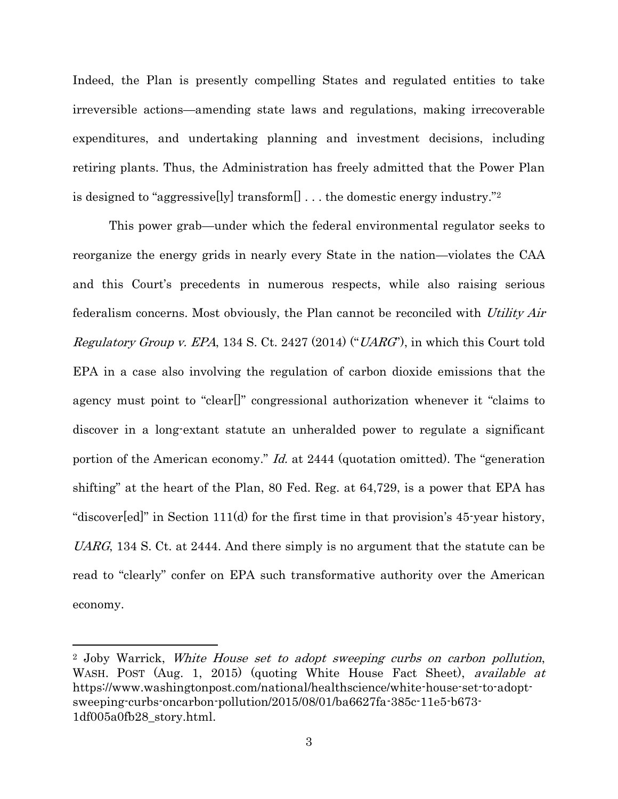Indeed, the Plan is presently compelling States and regulated entities to take irreversible actions—amending state laws and regulations, making irrecoverable expenditures, and undertaking planning and investment decisions, including retiring plants. Thus, the Administration has freely admitted that the Power Plan is designed to "aggressive[ly] transform[] . . . the domestic energy industry."<sup>2</sup>

This power grab—under which the federal environmental regulator seeks to reorganize the energy grids in nearly every State in the nation—violates the CAA and this Court's precedents in numerous respects, while also raising serious federalism concerns. Most obviously, the Plan cannot be reconciled with Utility Air *Regulatory Group v. EPA*, 134 S. Ct. 2427 (2014) (" $UARG$ "), in which this Court told EPA in a case also involving the regulation of carbon dioxide emissions that the agency must point to "clear[]" congressional authorization whenever it "claims to discover in a long-extant statute an unheralded power to regulate a significant portion of the American economy." Id. at 2444 (quotation omitted). The "generation shifting" at the heart of the Plan, 80 Fed. Reg. at 64,729, is a power that EPA has "discover[ed]" in Section 111(d) for the first time in that provision's 45-year history, UARG, 134 S. Ct. at 2444. And there simply is no argument that the statute can be read to "clearly" confer on EPA such transformative authority over the American economy.

<sup>2</sup> Joby Warrick, White House set to adopt sweeping curbs on carbon pollution, WASH. POST (Aug. 1, 2015) (quoting White House Fact Sheet), *available at* https://www.washingtonpost.com/national/healthscience/white-house-set-to-adoptsweeping-curbs-oncarbon-pollution/2015/08/01/ba6627fa-385c-11e5-b673- 1df005a0fb28\_story.html.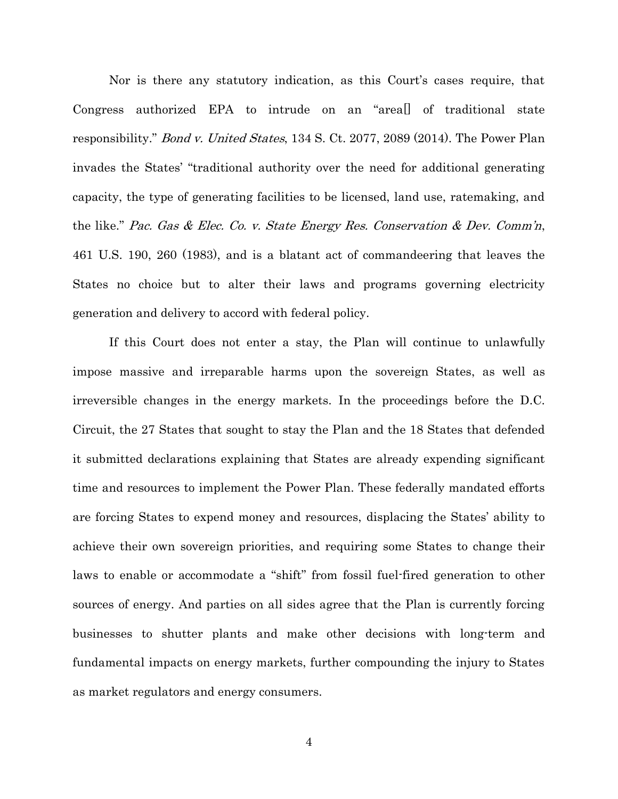Nor is there any statutory indication, as this Court's cases require, that Congress authorized EPA to intrude on an "area[] of traditional state responsibility." Bond v. United States, 134 S. Ct. 2077, 2089 (2014). The Power Plan invades the States' "traditional authority over the need for additional generating capacity, the type of generating facilities to be licensed, land use, ratemaking, and the like." Pac. Gas & Elec. Co. v. State Energy Res. Conservation & Dev. Comm'n, 461 U.S. 190, 260 (1983), and is a blatant act of commandeering that leaves the States no choice but to alter their laws and programs governing electricity generation and delivery to accord with federal policy.

If this Court does not enter a stay, the Plan will continue to unlawfully impose massive and irreparable harms upon the sovereign States, as well as irreversible changes in the energy markets. In the proceedings before the D.C. Circuit, the 27 States that sought to stay the Plan and the 18 States that defended it submitted declarations explaining that States are already expending significant time and resources to implement the Power Plan. These federally mandated efforts are forcing States to expend money and resources, displacing the States' ability to achieve their own sovereign priorities, and requiring some States to change their laws to enable or accommodate a "shift" from fossil fuel-fired generation to other sources of energy. And parties on all sides agree that the Plan is currently forcing businesses to shutter plants and make other decisions with long-term and fundamental impacts on energy markets, further compounding the injury to States as market regulators and energy consumers.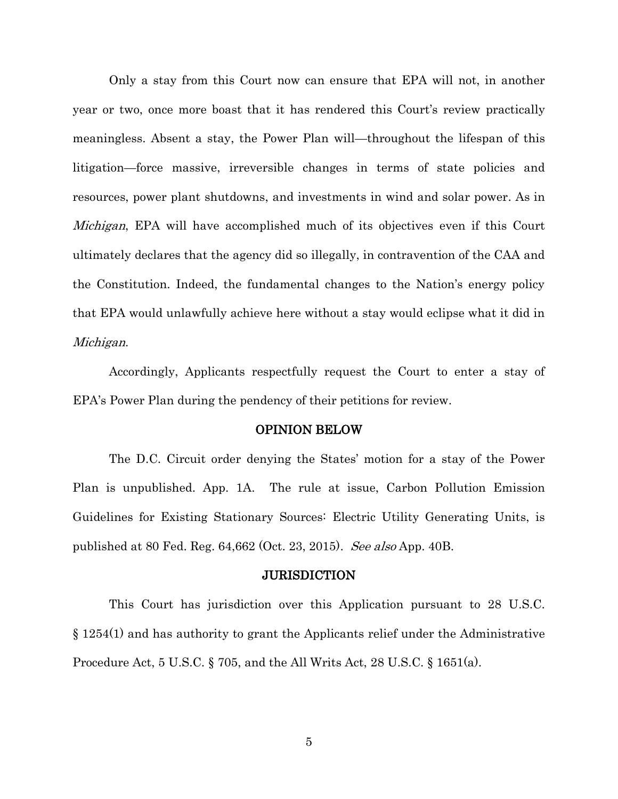Only a stay from this Court now can ensure that EPA will not, in another year or two, once more boast that it has rendered this Court's review practically meaningless. Absent a stay, the Power Plan will—throughout the lifespan of this litigation—force massive, irreversible changes in terms of state policies and resources, power plant shutdowns, and investments in wind and solar power. As in Michigan, EPA will have accomplished much of its objectives even if this Court ultimately declares that the agency did so illegally, in contravention of the CAA and the Constitution. Indeed, the fundamental changes to the Nation's energy policy that EPA would unlawfully achieve here without a stay would eclipse what it did in Michigan.

Accordingly, Applicants respectfully request the Court to enter a stay of EPA's Power Plan during the pendency of their petitions for review.

#### OPINION BELOW

<span id="page-12-0"></span>The D.C. Circuit order denying the States' motion for a stay of the Power Plan is unpublished. App. 1A. The rule at issue, Carbon Pollution Emission Guidelines for Existing Stationary Sources: Electric Utility Generating Units, is published at 80 Fed. Reg. 64,662 (Oct. 23, 2015). See also App. 40B.

#### **JURISDICTION**

<span id="page-12-2"></span><span id="page-12-1"></span>This Court has jurisdiction over this Application pursuant to 28 U.S.C. § 1254(1) and has authority to grant the Applicants relief under the Administrative Procedure Act, 5 U.S.C. § 705, and the All Writs Act, 28 U.S.C. § 1651(a).

5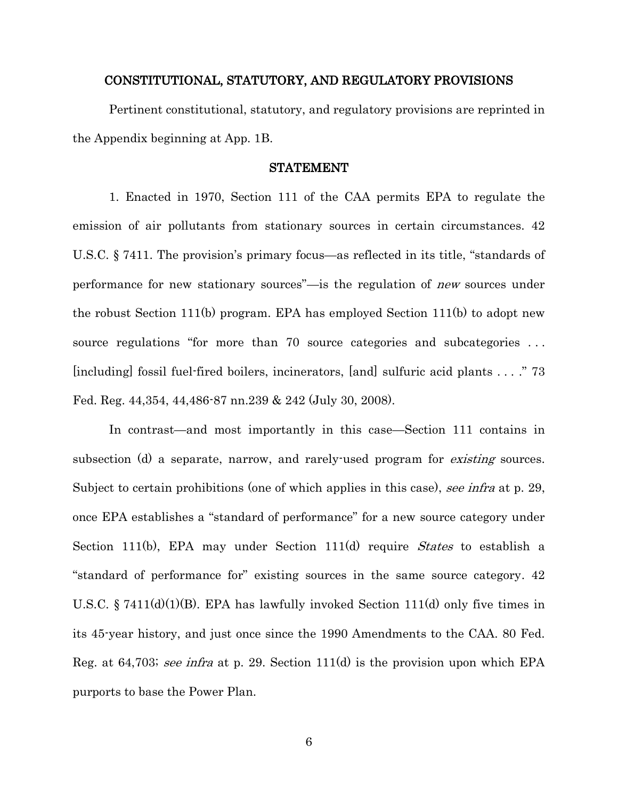#### CONSTITUTIONAL, STATUTORY, AND REGULATORY PROVISIONS

Pertinent constitutional, statutory, and regulatory provisions are reprinted in the Appendix beginning at App. 1B.

#### STATEMENT

<span id="page-13-0"></span>1. Enacted in 1970, Section 111 of the CAA permits EPA to regulate the emission of air pollutants from stationary sources in certain circumstances. 42 U.S.C. § 7411. The provision's primary focus—as reflected in its title, "standards of performance for new stationary sources"—is the regulation of new sources under the robust Section 111(b) program. EPA has employed Section 111(b) to adopt new source regulations "for more than 70 source categories and subcategories ... [including] fossil fuel-fired boilers, incinerators, [and] sulfuric acid plants . . . ." 73 Fed. Reg. 44,354, 44,486-87 nn.239 & 242 (July 30, 2008).

In contrast—and most importantly in this case—Section 111 contains in subsection (d) a separate, narrow, and rarely-used program for *existing* sources. Subject to certain prohibitions (one of which applies in this case), see infra at p. 29, once EPA establishes a "standard of performance" for a new source category under Section 111(b), EPA may under Section 111(d) require *States* to establish a "standard of performance for" existing sources in the same source category. 42 U.S.C. § 7411(d)(1)(B). EPA has lawfully invoked Section 111(d) only five times in its 45-year history, and just once since the 1990 Amendments to the CAA. 80 Fed. Reg. at 64,703; see infra at p. 29. Section 111(d) is the provision upon which EPA purports to base the Power Plan.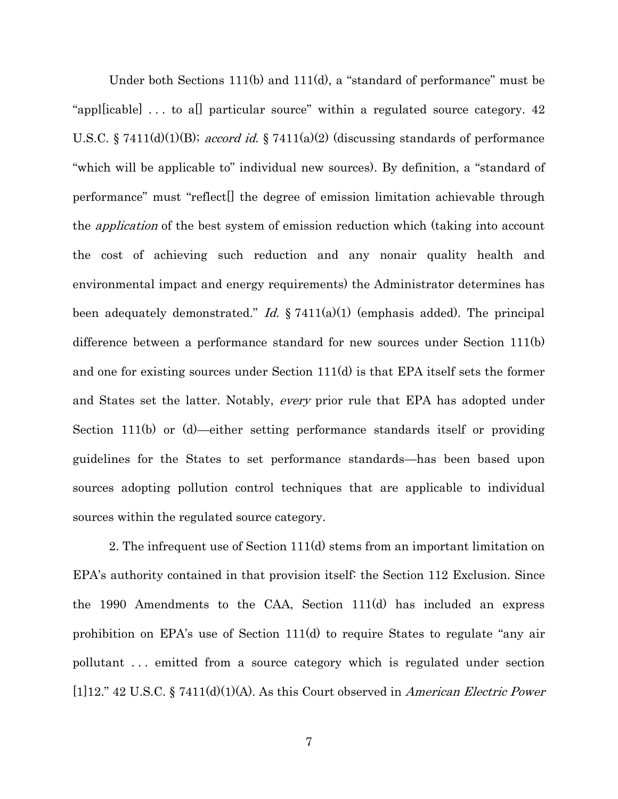Under both Sections 111(b) and 111(d), a "standard of performance" must be "apple icable  $\lfloor$ ... to all particular source" within a regulated source category. 42 U.S.C. § 7411(d)(1)(B); accord id. § 7411(a)(2) (discussing standards of performance "which will be applicable to" individual new sources). By definition, a "standard of performance" must "reflect[] the degree of emission limitation achievable through the application of the best system of emission reduction which (taking into account the cost of achieving such reduction and any nonair quality health and environmental impact and energy requirements) the Administrator determines has been adequately demonstrated." Id.  $\S 7411(a)(1)$  (emphasis added). The principal difference between a performance standard for new sources under Section 111(b) and one for existing sources under Section 111(d) is that EPA itself sets the former and States set the latter. Notably, every prior rule that EPA has adopted under Section 111(b) or (d)—either setting performance standards itself or providing guidelines for the States to set performance standards—has been based upon sources adopting pollution control techniques that are applicable to individual sources within the regulated source category.

2. The infrequent use of Section 111(d) stems from an important limitation on EPA's authority contained in that provision itself: the Section 112 Exclusion. Since the 1990 Amendments to the CAA, Section 111(d) has included an express prohibition on EPA's use of Section 111(d) to require States to regulate "any air pollutant . . . emitted from a source category which is regulated under section [1]12." 42 U.S.C. § 7411(d)(1)(A). As this Court observed in American Electric Power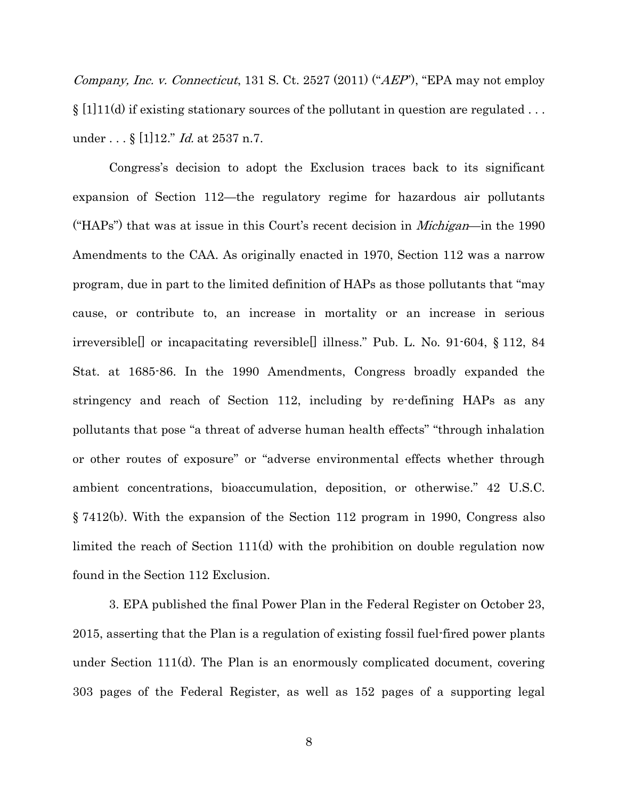*Company, Inc. v. Connecticut,* 131 S. Ct. 2527 (2011) (" $AEP$ ), "EPA may not employ  $\S$  [1][11(d) if existing stationary sources of the pollutant in question are regulated ... under . . . § [1]12." *Id.* at 2537 n.7.

Congress's decision to adopt the Exclusion traces back to its significant expansion of Section 112—the regulatory regime for hazardous air pollutants ("HAPs") that was at issue in this Court's recent decision in *Michigan*—in the 1990 Amendments to the CAA. As originally enacted in 1970, Section 112 was a narrow program, due in part to the limited definition of HAPs as those pollutants that "may cause, or contribute to, an increase in mortality or an increase in serious irreversible[] or incapacitating reversible[] illness." Pub. L. No. 91-604, § 112, 84 Stat. at 1685-86. In the 1990 Amendments, Congress broadly expanded the stringency and reach of Section 112, including by re-defining HAPs as any pollutants that pose "a threat of adverse human health effects" "through inhalation or other routes of exposure" or "adverse environmental effects whether through ambient concentrations, bioaccumulation, deposition, or otherwise." 42 U.S.C. § 7412(b). With the expansion of the Section 112 program in 1990, Congress also limited the reach of Section 111(d) with the prohibition on double regulation now found in the Section 112 Exclusion.

3. EPA published the final Power Plan in the Federal Register on October 23, 2015, asserting that the Plan is a regulation of existing fossil fuel-fired power plants under Section 111(d). The Plan is an enormously complicated document, covering 303 pages of the Federal Register, as well as 152 pages of a supporting legal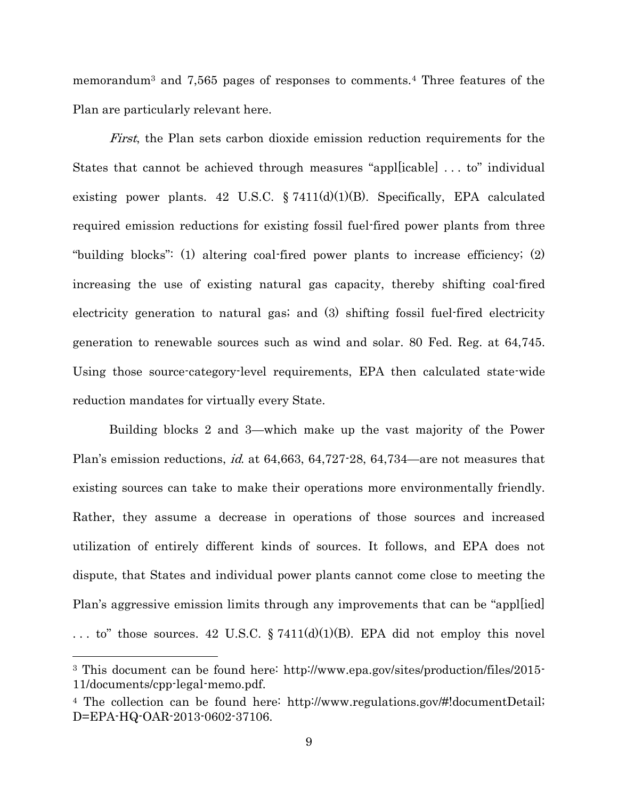memorandum<sup>3</sup> and 7,565 pages of responses to comments.<sup>4</sup> Three features of the Plan are particularly relevant here.

First, the Plan sets carbon dioxide emission reduction requirements for the States that cannot be achieved through measures "appl[icable] . . . to" individual existing power plants. 42 U.S.C. § 7411(d)(1)(B). Specifically, EPA calculated required emission reductions for existing fossil fuel-fired power plants from three "building blocks": (1) altering coal-fired power plants to increase efficiency; (2) increasing the use of existing natural gas capacity, thereby shifting coal-fired electricity generation to natural gas; and (3) shifting fossil fuel-fired electricity generation to renewable sources such as wind and solar. 80 Fed. Reg. at 64,745. Using those source-category-level requirements, EPA then calculated state-wide reduction mandates for virtually every State.

Building blocks 2 and 3—which make up the vast majority of the Power Plan's emission reductions, *id.* at 64,663, 64,727-28, 64,734—are not measures that existing sources can take to make their operations more environmentally friendly. Rather, they assume a decrease in operations of those sources and increased utilization of entirely different kinds of sources. It follows, and EPA does not dispute, that States and individual power plants cannot come close to meeting the Plan's aggressive emission limits through any improvements that can be "appl[ied] ... to" those sources. 42 U.S.C.  $\S 7411(d)(1)(B)$ . EPA did not employ this novel

l

<sup>3</sup> This document can be found here: http://www.epa.gov/sites/production/files/2015- 11/documents/cpp-legal-memo.pdf.

<sup>4</sup> The collection can be found here: http://www.regulations.gov/#!documentDetail; D=EPA-HQ-OAR-2013-0602-37106.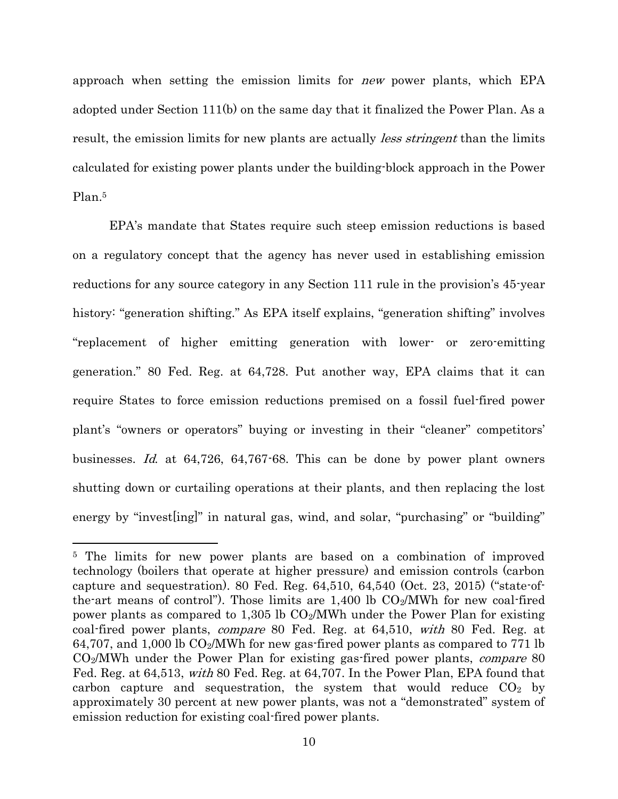approach when setting the emission limits for new power plants, which EPA adopted under Section 111(b) on the same day that it finalized the Power Plan. As a result, the emission limits for new plants are actually *less stringent* than the limits calculated for existing power plants under the building-block approach in the Power Plan. 5

EPA's mandate that States require such steep emission reductions is based on a regulatory concept that the agency has never used in establishing emission reductions for any source category in any Section 111 rule in the provision's 45-year history: "generation shifting." As EPA itself explains, "generation shifting" involves "replacement of higher emitting generation with lower- or zero-emitting generation." 80 Fed. Reg. at 64,728. Put another way, EPA claims that it can require States to force emission reductions premised on a fossil fuel-fired power plant's "owners or operators" buying or investing in their "cleaner" competitors' businesses. Id. at 64,726, 64,767-68. This can be done by power plant owners shutting down or curtailing operations at their plants, and then replacing the lost energy by "invest [ing]" in natural gas, wind, and solar, "purchasing" or "building"

<sup>&</sup>lt;sup>5</sup> The limits for new power plants are based on a combination of improved technology (boilers that operate at higher pressure) and emission controls (carbon capture and sequestration). 80 Fed. Reg.  $64,510, 64,540$  (Oct. 23, 2015) ("state-ofthe-art means of control"). Those limits are  $1,400 \text{ lb } CO_2/\text{MWh}$  for new coal-fired power plants as compared to 1,305 lb CO2/MWh under the Power Plan for existing coal-fired power plants, compare 80 Fed. Reg. at 64,510, with 80 Fed. Reg. at 64,707, and 1,000 lb  $CO<sub>2</sub>/MWh$  for new gas-fired power plants as compared to 771 lb CO<sub>2</sub>/MWh under the Power Plan for existing gas-fired power plants, *compare* 80 Fed. Reg. at 64,513, with 80 Fed. Reg. at 64,707. In the Power Plan, EPA found that carbon capture and sequestration, the system that would reduce  $CO<sub>2</sub>$  by approximately 30 percent at new power plants, was not a "demonstrated" system of emission reduction for existing coal-fired power plants.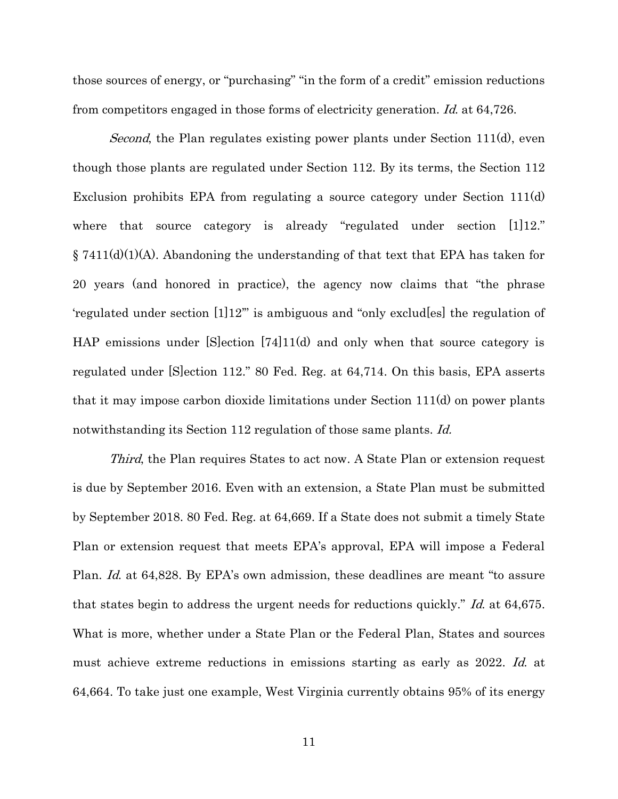those sources of energy, or "purchasing" "in the form of a credit" emission reductions from competitors engaged in those forms of electricity generation. Id. at 64,726.

Second, the Plan regulates existing power plants under Section 111(d), even though those plants are regulated under Section 112. By its terms, the Section 112 Exclusion prohibits EPA from regulating a source category under Section 111(d) where that source category is already "regulated under section [1]12."  $\S 7411(d)(1)(A)$ . Abandoning the understanding of that text that EPA has taken for 20 years (and honored in practice), the agency now claims that "the phrase 'regulated under section [1]12'" is ambiguous and "only exclud[es] the regulation of HAP emissions under [S]ection [74]11(d) and only when that source category is regulated under [S]ection 112." 80 Fed. Reg. at 64,714. On this basis, EPA asserts that it may impose carbon dioxide limitations under Section 111(d) on power plants notwithstanding its Section 112 regulation of those same plants. *Id.* 

Third, the Plan requires States to act now. A State Plan or extension request is due by September 2016. Even with an extension, a State Plan must be submitted by September 2018. 80 Fed. Reg. at 64,669. If a State does not submit a timely State Plan or extension request that meets EPA's approval, EPA will impose a Federal Plan. Id. at 64,828. By EPA's own admission, these deadlines are meant "to assure that states begin to address the urgent needs for reductions quickly." Id. at 64,675. What is more, whether under a State Plan or the Federal Plan, States and sources must achieve extreme reductions in emissions starting as early as 2022. Id. at 64,664. To take just one example, West Virginia currently obtains 95% of its energy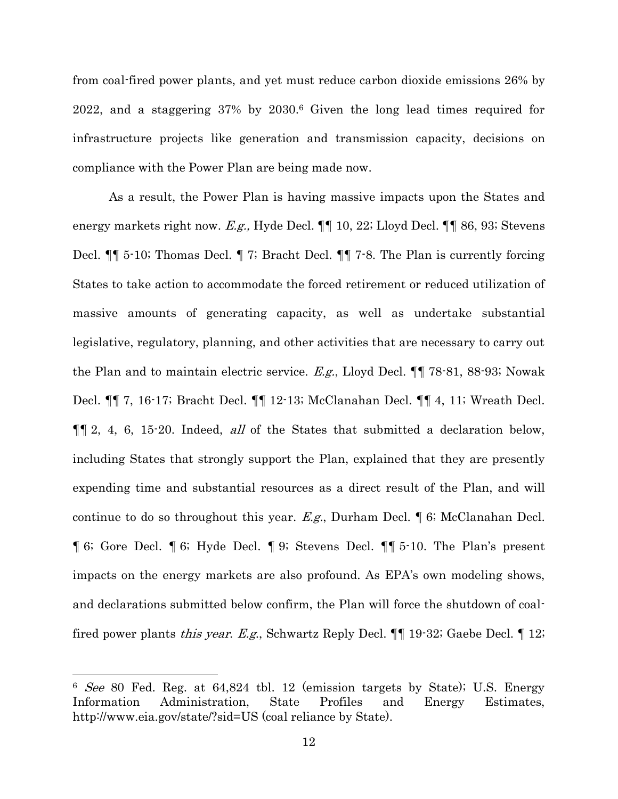from coal-fired power plants, and yet must reduce carbon dioxide emissions 26% by 2022, and a staggering 37% by 2030. <sup>6</sup> Given the long lead times required for infrastructure projects like generation and transmission capacity, decisions on compliance with the Power Plan are being made now.

As a result, the Power Plan is having massive impacts upon the States and energy markets right now. E.g., Hyde Decl.  $\P\P$  10, 22; Lloyd Decl.  $\P\P$  86, 93; Stevens Decl. ¶¶ 5-10; Thomas Decl. ¶ 7; Bracht Decl. ¶¶ 7-8. The Plan is currently forcing States to take action to accommodate the forced retirement or reduced utilization of massive amounts of generating capacity, as well as undertake substantial legislative, regulatory, planning, and other activities that are necessary to carry out the Plan and to maintain electric service. E.g., Lloyd Decl. ¶¶ 78-81, 88-93; Nowak Decl. ¶¶ 7, 16-17; Bracht Decl. ¶¶ 12-13; McClanahan Decl. ¶¶ 4, 11; Wreath Decl.  $\P\P$  2, 4, 6, 15.20. Indeed, *all* of the States that submitted a declaration below, including States that strongly support the Plan, explained that they are presently expending time and substantial resources as a direct result of the Plan, and will continue to do so throughout this year. E.g., Durham Decl.  $\P$  6; McClanahan Decl. ¶ 6; Gore Decl. ¶ 6; Hyde Decl. ¶ 9; Stevens Decl. ¶¶ 5-10. The Plan's present impacts on the energy markets are also profound. As EPA's own modeling shows, and declarations submitted below confirm, the Plan will force the shutdown of coalfired power plants *this year. E.g.*, Schwartz Reply Decl.  $\P\P$  19-32; Gaebe Decl.  $\P$  12;

<sup>6</sup> See 80 Fed. Reg. at 64,824 tbl. 12 (emission targets by State); U.S. Energy Information Administration, State Profiles and Energy Estimates, http://www.eia.gov/state/?sid=US (coal reliance by State).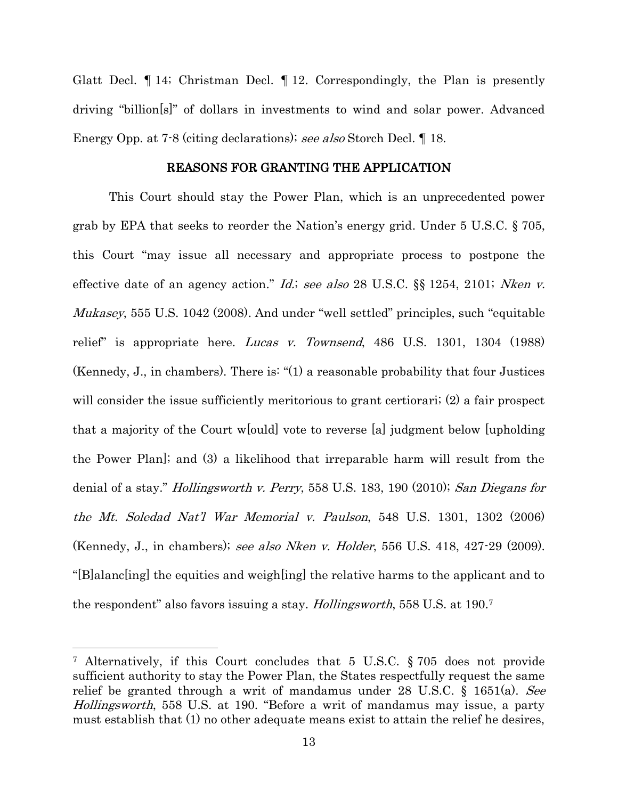Glatt Decl. ¶ 14; Christman Decl. ¶ 12. Correspondingly, the Plan is presently driving "billion[s]" of dollars in investments to wind and solar power. Advanced Energy Opp. at 7-8 (citing declarations); see also Storch Decl. ¶ 18.

#### REASONS FOR GRANTING THE APPLICATION

<span id="page-20-0"></span>This Court should stay the Power Plan, which is an unprecedented power grab by EPA that seeks to reorder the Nation's energy grid. Under 5 U.S.C. § 705, this Court "may issue all necessary and appropriate process to postpone the effective date of an agency action." *Id.*; see also 28 U.S.C.  $\S$ § 1254, 2101; *Nken v.* Mukasey, 555 U.S. 1042 (2008). And under "well settled" principles, such "equitable relief" is appropriate here. Lucas v. Townsend, 486 U.S. 1301, 1304 (1988) (Kennedy, J., in chambers). There is: "(1) a reasonable probability that four Justices will consider the issue sufficiently meritorious to grant certiorari;  $(2)$  a fair prospect that a majority of the Court w[ould] vote to reverse [a] judgment below [upholding the Power Plan]; and (3) a likelihood that irreparable harm will result from the denial of a stay." Hollingsworth v. Perry, 558 U.S. 183, 190 (2010); San Diegans for the Mt. Soledad Nat'l War Memorial v. Paulson, 548 U.S. 1301, 1302 (2006) (Kennedy, J., in chambers); see also Nken v. Holder, 556 U.S. 418, 427-29 (2009). "[B]alanc[ing] the equities and weigh[ing] the relative harms to the applicant and to the respondent" also favors issuing a stay. Hollingsworth, 558 U.S. at 190.<sup>7</sup>

<sup>7</sup> Alternatively, if this Court concludes that 5 U.S.C. § 705 does not provide sufficient authority to stay the Power Plan, the States respectfully request the same relief be granted through a writ of mandamus under 28 U.S.C. § 1651(a). See Hollingsworth, 558 U.S. at 190. "Before a writ of mandamus may issue, a party must establish that (1) no other adequate means exist to attain the relief he desires,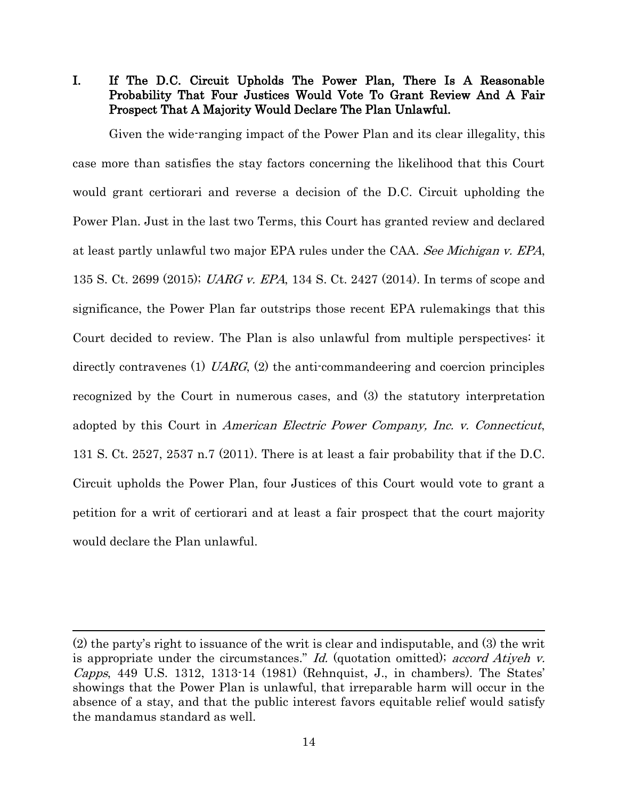<span id="page-21-0"></span>I. If The D.C. Circuit Upholds The Power Plan, There Is A Reasonable Probability That Four Justices Would Vote To Grant Review And A Fair Prospect That A Majority Would Declare The Plan Unlawful.

Given the wide-ranging impact of the Power Plan and its clear illegality, this case more than satisfies the stay factors concerning the likelihood that this Court would grant certiorari and reverse a decision of the D.C. Circuit upholding the Power Plan. Just in the last two Terms, this Court has granted review and declared at least partly unlawful two major EPA rules under the CAA. See Michigan v. EPA, 135 S. Ct. 2699 (2015); UARG v. EPA, 134 S. Ct. 2427 (2014). In terms of scope and significance, the Power Plan far outstrips those recent EPA rulemakings that this Court decided to review. The Plan is also unlawful from multiple perspectives: it directly contravenes (1) UARG, (2) the anti-commandeering and coercion principles recognized by the Court in numerous cases, and (3) the statutory interpretation adopted by this Court in American Electric Power Company, Inc. v. Connecticut, 131 S. Ct. 2527, 2537 n.7 (2011). There is at least a fair probability that if the D.C. Circuit upholds the Power Plan, four Justices of this Court would vote to grant a petition for a writ of certiorari and at least a fair prospect that the court majority would declare the Plan unlawful.

<sup>(2)</sup> the party's right to issuance of the writ is clear and indisputable, and (3) the writ is appropriate under the circumstances." Id. (quotation omitted); accord Atiyeh v. *Capps*, 449 U.S. 1312, 1313-14 (1981) (Rehnquist, J., in chambers). The States' showings that the Power Plan is unlawful, that irreparable harm will occur in the absence of a stay, and that the public interest favors equitable relief would satisfy the mandamus standard as well.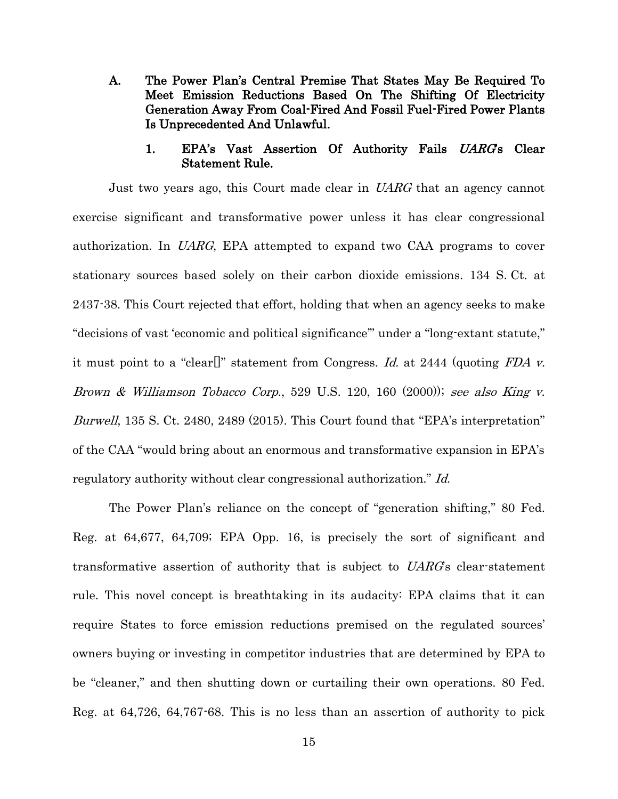<span id="page-22-0"></span>A. The Power Plan's Central Premise That States May Be Required To Meet Emission Reductions Based On The Shifting Of Electricity Generation Away From Coal-Fired And Fossil Fuel-Fired Power Plants Is Unprecedented And Unlawful.

#### 1. EPA's Vast Assertion Of Authority Fails UARG's Clear Statement Rule.

<span id="page-22-1"></span>Just two years ago, this Court made clear in UARG that an agency cannot exercise significant and transformative power unless it has clear congressional authorization. In UARG, EPA attempted to expand two CAA programs to cover stationary sources based solely on their carbon dioxide emissions. 134 S. Ct. at 2437-38. This Court rejected that effort, holding that when an agency seeks to make "decisions of vast 'economic and political significance'" under a "long-extant statute," it must point to a "clear<sup>[]"</sup> statement from Congress. Id. at 2444 (quoting FDA v. Brown & Williamson Tobacco Corp., 529 U.S. 120, 160 (2000)); see also King v. Burwell, 135 S. Ct. 2480, 2489 (2015). This Court found that "EPA's interpretation" of the CAA "would bring about an enormous and transformative expansion in EPA's regulatory authority without clear congressional authorization." Id.

The Power Plan's reliance on the concept of "generation shifting," 80 Fed. Reg. at 64,677, 64,709; EPA Opp. 16, is precisely the sort of significant and transformative assertion of authority that is subject to UARG's clear-statement rule. This novel concept is breathtaking in its audacity: EPA claims that it can require States to force emission reductions premised on the regulated sources' owners buying or investing in competitor industries that are determined by EPA to be "cleaner," and then shutting down or curtailing their own operations. 80 Fed. Reg. at 64,726, 64,767-68. This is no less than an assertion of authority to pick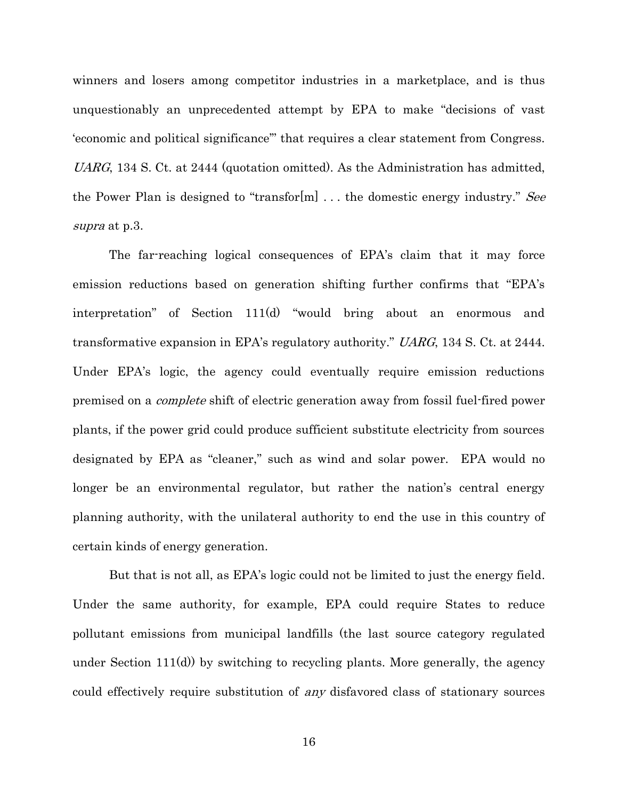winners and losers among competitor industries in a marketplace, and is thus unquestionably an unprecedented attempt by EPA to make "decisions of vast 'economic and political significance'" that requires a clear statement from Congress. UARG, 134 S. Ct. at 2444 (quotation omitted). As the Administration has admitted, the Power Plan is designed to "transfor[m]  $\dots$  the domestic energy industry." See supra at p.3.

The far-reaching logical consequences of EPA's claim that it may force emission reductions based on generation shifting further confirms that "EPA's interpretation" of Section 111(d) "would bring about an enormous and transformative expansion in EPA's regulatory authority." UARG, 134 S. Ct. at 2444. Under EPA's logic, the agency could eventually require emission reductions premised on a complete shift of electric generation away from fossil fuel-fired power plants, if the power grid could produce sufficient substitute electricity from sources designated by EPA as "cleaner," such as wind and solar power. EPA would no longer be an environmental regulator, but rather the nation's central energy planning authority, with the unilateral authority to end the use in this country of certain kinds of energy generation.

But that is not all, as EPA's logic could not be limited to just the energy field. Under the same authority, for example, EPA could require States to reduce pollutant emissions from municipal landfills (the last source category regulated under Section  $111(d)$  by switching to recycling plants. More generally, the agency could effectively require substitution of any disfavored class of stationary sources

16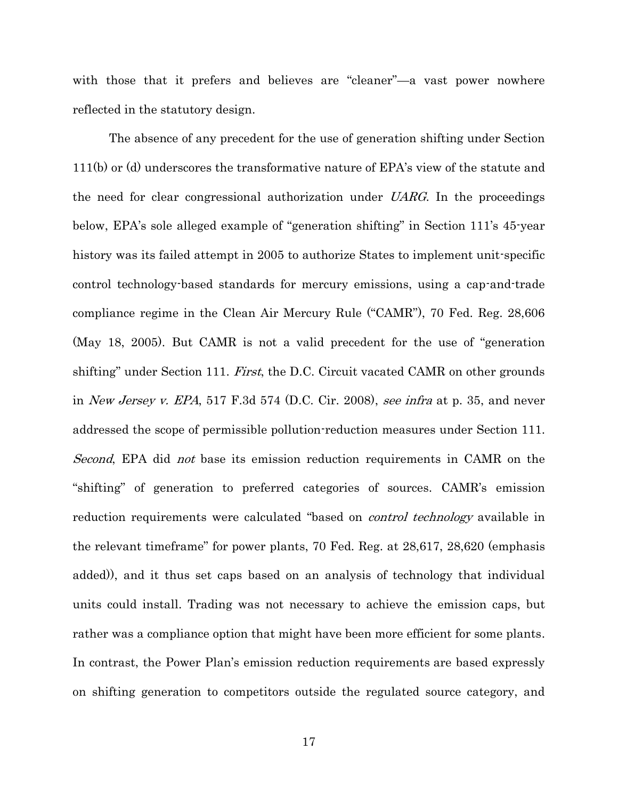with those that it prefers and believes are "cleaner"—a vast power nowhere reflected in the statutory design.

The absence of any precedent for the use of generation shifting under Section 111(b) or (d) underscores the transformative nature of EPA's view of the statute and the need for clear congressional authorization under UARG. In the proceedings below, EPA's sole alleged example of "generation shifting" in Section 111's 45-year history was its failed attempt in 2005 to authorize States to implement unit-specific control technology-based standards for mercury emissions, using a cap-and-trade compliance regime in the Clean Air Mercury Rule ("CAMR"), 70 Fed. Reg. 28,606 (May 18, 2005). But CAMR is not a valid precedent for the use of "generation shifting" under Section 111. First, the D.C. Circuit vacated CAMR on other grounds in New Jersey v. EPA, 517 F.3d 574 (D.C. Cir. 2008), see infra at p. 35, and never addressed the scope of permissible pollution-reduction measures under Section 111. Second, EPA did not base its emission reduction requirements in CAMR on the "shifting" of generation to preferred categories of sources. CAMR's emission reduction requirements were calculated "based on *control technology* available in the relevant timeframe" for power plants, 70 Fed. Reg. at 28,617, 28,620 (emphasis added)), and it thus set caps based on an analysis of technology that individual units could install. Trading was not necessary to achieve the emission caps, but rather was a compliance option that might have been more efficient for some plants. In contrast, the Power Plan's emission reduction requirements are based expressly on shifting generation to competitors outside the regulated source category, and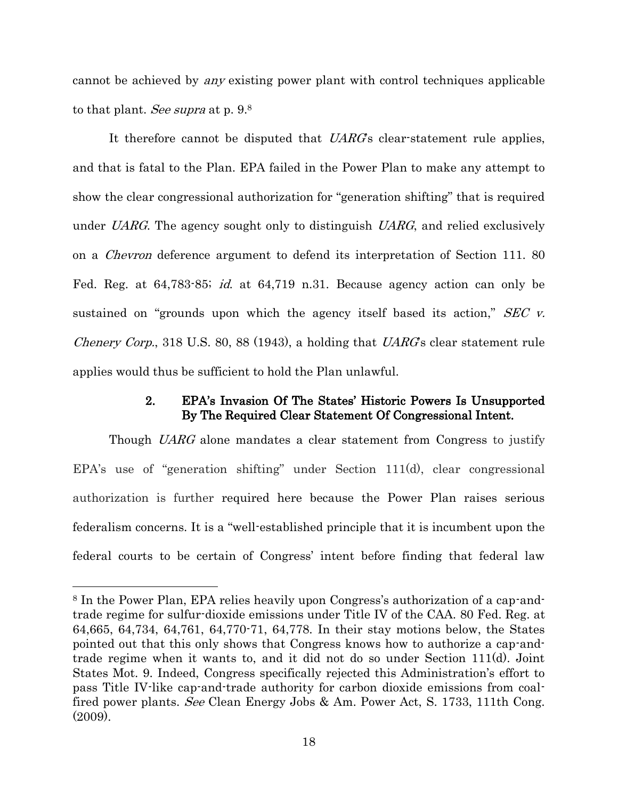cannot be achieved by any existing power plant with control techniques applicable to that plant. *See supra* at p. 9.<sup>8</sup>

It therefore cannot be disputed that UARG's clear-statement rule applies, and that is fatal to the Plan. EPA failed in the Power Plan to make any attempt to show the clear congressional authorization for "generation shifting" that is required under UARG. The agency sought only to distinguish  $UARG$ , and relied exclusively on a Chevron deference argument to defend its interpretation of Section 111. 80 Fed. Reg. at 64,783-85; id. at 64,719 n.31. Because agency action can only be sustained on "grounds upon which the agency itself based its action,"  $SEC~v$ . *Chenery Corp.*, 318 U.S. 80, 88 (1943), a holding that  $UARGs$  clear statement rule applies would thus be sufficient to hold the Plan unlawful.

## 2. EPA's Invasion Of The States' Historic Powers Is Unsupported By The Required Clear Statement Of Congressional Intent.

<span id="page-25-0"></span>Though UARG alone mandates a clear statement from Congress to justify EPA's use of "generation shifting" under Section 111(d), clear congressional authorization is further required here because the Power Plan raises serious federalism concerns. It is a "well-established principle that it is incumbent upon the federal courts to be certain of Congress' intent before finding that federal law

<sup>8</sup> In the Power Plan, EPA relies heavily upon Congress's authorization of a cap-andtrade regime for sulfur-dioxide emissions under Title IV of the CAA. 80 Fed. Reg. at 64,665, 64,734, 64,761, 64,770-71, 64,778. In their stay motions below, the States pointed out that this only shows that Congress knows how to authorize a cap-andtrade regime when it wants to, and it did not do so under Section 111(d). Joint States Mot. 9. Indeed, Congress specifically rejected this Administration's effort to pass Title IV-like cap-and-trade authority for carbon dioxide emissions from coalfired power plants. See Clean Energy Jobs & Am. Power Act, S. 1733, 111th Cong. (2009).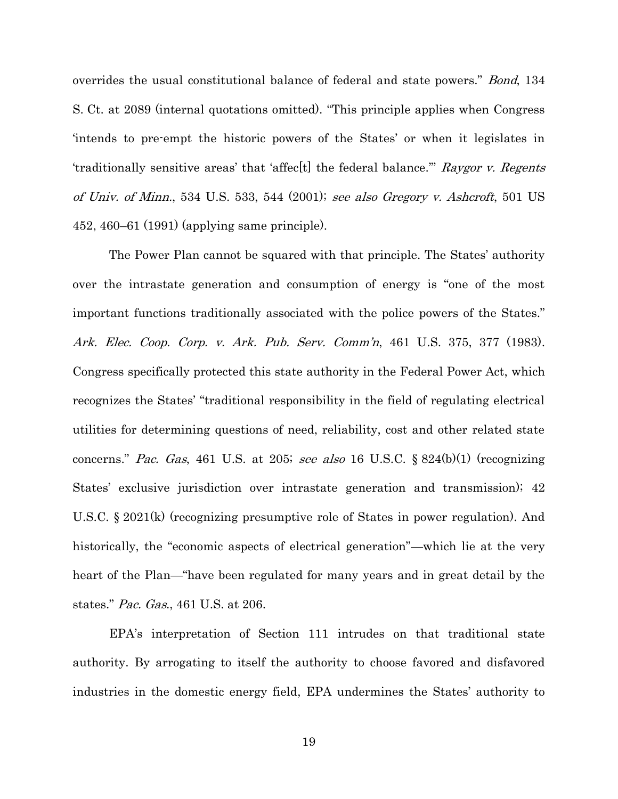overrides the usual constitutional balance of federal and state powers." *Bond*, 134 S. Ct. at 2089 (internal quotations omitted). "This principle applies when Congress 'intends to pre-empt the historic powers of the States' or when it legislates in 'traditionally sensitive areas' that 'affec[t] the federal balance.'" Raygor v. Regents of Univ. of Minn., 534 U.S. 533, 544 (2001); see also Gregory v. Ashcroft, 501 US 452, 460–61 (1991) (applying same principle).

The Power Plan cannot be squared with that principle. The States' authority over the intrastate generation and consumption of energy is "one of the most important functions traditionally associated with the police powers of the States." Ark. Elec. Coop. Corp. v. Ark. Pub. Serv. Comm'n, 461 U.S. 375, 377 (1983). Congress specifically protected this state authority in the Federal Power Act, which recognizes the States' "traditional responsibility in the field of regulating electrical utilities for determining questions of need, reliability, cost and other related state concerns." Pac. Gas, 461 U.S. at 205; see also 16 U.S.C.  $\S 824(b)(1)$  (recognizing States' exclusive jurisdiction over intrastate generation and transmission); 42 U.S.C. § 2021(k) (recognizing presumptive role of States in power regulation). And historically, the "economic aspects of electrical generation"—which lie at the very heart of the Plan—"have been regulated for many years and in great detail by the states." Pac. Gas., 461 U.S. at 206.

EPA's interpretation of Section 111 intrudes on that traditional state authority. By arrogating to itself the authority to choose favored and disfavored industries in the domestic energy field, EPA undermines the States' authority to

19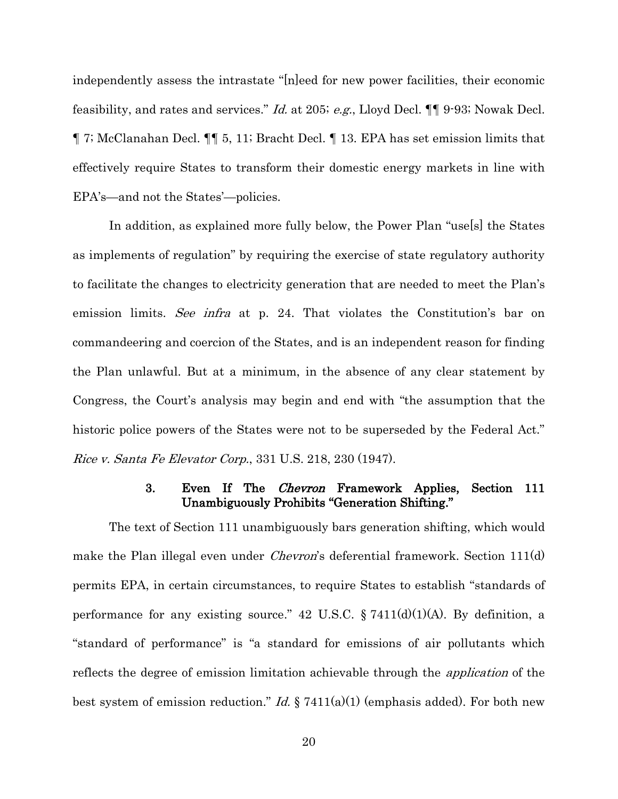independently assess the intrastate "[n]eed for new power facilities, their economic feasibility, and rates and services." Id. at 205; e.g., Lloyd Decl. ¶¶ 9-93; Nowak Decl. ¶ 7; McClanahan Decl. ¶¶ 5, 11; Bracht Decl. ¶ 13. EPA has set emission limits that effectively require States to transform their domestic energy markets in line with EPA's—and not the States'—policies.

In addition, as explained more fully below, the Power Plan "use[s] the States as implements of regulation" by requiring the exercise of state regulatory authority to facilitate the changes to electricity generation that are needed to meet the Plan's emission limits. See infra at p. 24. That violates the Constitution's bar on commandeering and coercion of the States, and is an independent reason for finding the Plan unlawful. But at a minimum, in the absence of any clear statement by Congress, the Court's analysis may begin and end with "the assumption that the historic police powers of the States were not to be superseded by the Federal Act." Rice v. Santa Fe Elevator Corp., 331 U.S. 218, 230 (1947).

## 3. Even If The Chevron Framework Applies, Section 111 Unambiguously Prohibits "Generation Shifting."

<span id="page-27-0"></span>The text of Section 111 unambiguously bars generation shifting, which would make the Plan illegal even under *Chevron's* deferential framework. Section 111(d) permits EPA, in certain circumstances, to require States to establish "standards of performance for any existing source." 42 U.S.C.  $\S 7411(d)(1)(A)$ . By definition, a "standard of performance" is "a standard for emissions of air pollutants which reflects the degree of emission limitation achievable through the application of the best system of emission reduction." *Id.*  $\S 7411(a)(1)$  (emphasis added). For both new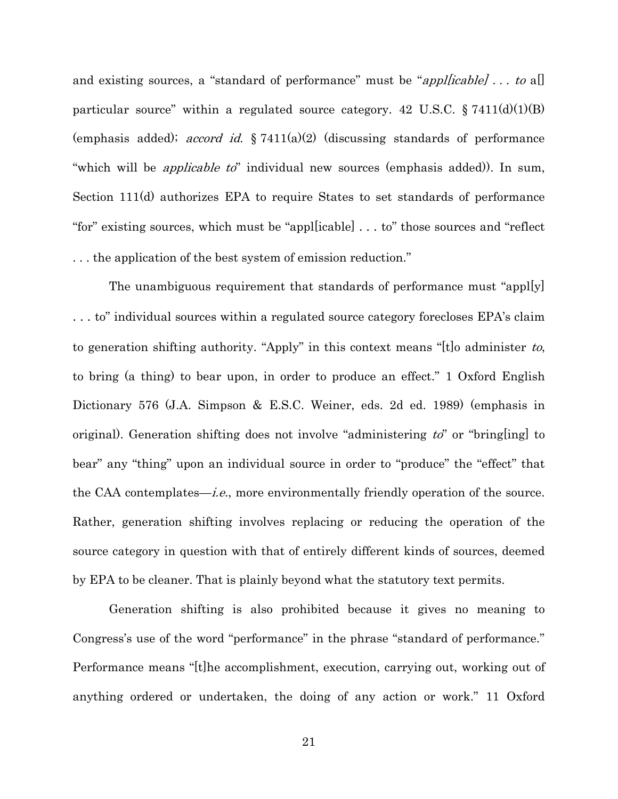and existing sources, a "standard of performance" must be "*appl[icable]* ... to a[] particular source" within a regulated source category. 42 U.S.C.  $\S 7411(d)(1)(B)$ (emphasis added); *accord id.*  $\S 7411(a)(2)$  (discussing standards of performance "which will be *applicable to*" individual new sources (emphasis added)). In sum, Section 111(d) authorizes EPA to require States to set standards of performance "for" existing sources, which must be "appl[icable] . . . to" those sources and "reflect . . . the application of the best system of emission reduction."

The unambiguous requirement that standards of performance must "appl[y] . . . to" individual sources within a regulated source category forecloses EPA's claim to generation shifting authority. "Apply" in this context means "[t]o administer to, to bring (a thing) to bear upon, in order to produce an effect." 1 Oxford English Dictionary 576 (J.A. Simpson & E.S.C. Weiner, eds. 2d ed. 1989) (emphasis in original). Generation shifting does not involve "administering  $t\ddot{o}$ " or "bring[ing] to bear" any "thing" upon an individual source in order to "produce" the "effect" that the CAA contemplates—*i.e.*, more environmentally friendly operation of the source. Rather, generation shifting involves replacing or reducing the operation of the source category in question with that of entirely different kinds of sources, deemed by EPA to be cleaner. That is plainly beyond what the statutory text permits.

Generation shifting is also prohibited because it gives no meaning to Congress's use of the word "performance" in the phrase "standard of performance." Performance means "[t]he accomplishment, execution, carrying out, working out of anything ordered or undertaken, the doing of any action or work." 11 Oxford

21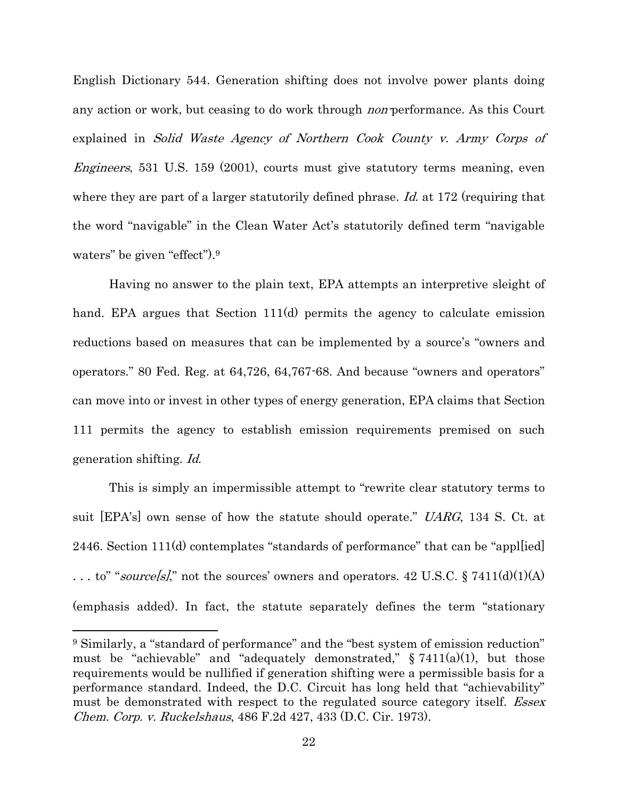English Dictionary 544. Generation shifting does not involve power plants doing any action or work, but ceasing to do work through *non*-performance. As this Court explained in Solid Waste Agency of Northern Cook County v. Army Corps of Engineers, 531 U.S. 159 (2001), courts must give statutory terms meaning, even where they are part of a larger statutorily defined phrase. Id. at 172 (requiring that the word "navigable" in the Clean Water Act's statutorily defined term "navigable waters" be given "effect"). 9

Having no answer to the plain text, EPA attempts an interpretive sleight of hand. EPA argues that Section 111(d) permits the agency to calculate emission reductions based on measures that can be implemented by a source's "owners and operators." 80 Fed. Reg. at 64,726, 64,767-68. And because "owners and operators" can move into or invest in other types of energy generation, EPA claims that Section 111 permits the agency to establish emission requirements premised on such generation shifting. Id.

This is simply an impermissible attempt to "rewrite clear statutory terms to suit [EPA's] own sense of how the statute should operate." UARG, 134 S. Ct. at 2446. Section 111(d) contemplates "standards of performance" that can be "appl[ied] ... to" "source[s]," not the sources' owners and operators. 42 U.S.C.  $\S 7411(d)(1)(A)$ (emphasis added). In fact, the statute separately defines the term "stationary

<sup>9</sup> Similarly, a "standard of performance" and the "best system of emission reduction" must be "achievable" and "adequately demonstrated,"  $\S$  7411(a)(1), but those requirements would be nullified if generation shifting were a permissible basis for a performance standard. Indeed, the D.C. Circuit has long held that "achievability" must be demonstrated with respect to the regulated source category itself. *Essex* Chem. Corp. v. Ruckelshaus, 486 F.2d 427, 433 (D.C. Cir. 1973).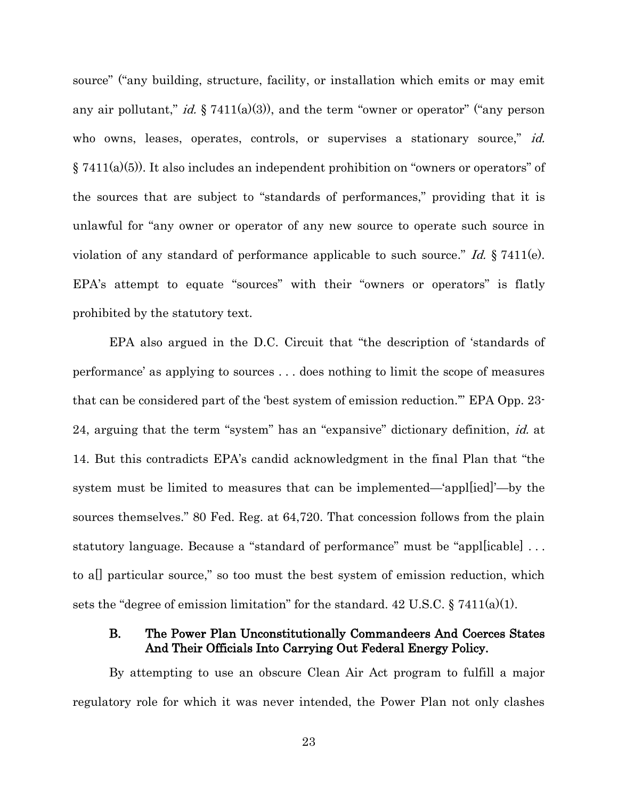source" ("any building, structure, facility, or installation which emits or may emit any air pollutant," *id.*  $\S 7411(a)(3)$ , and the term "owner or operator" ("any person who owns, leases, operates, controls, or supervises a stationary source," id. § 7411(a)(5)). It also includes an independent prohibition on "owners or operators" of the sources that are subject to "standards of performances," providing that it is unlawful for "any owner or operator of any new source to operate such source in violation of any standard of performance applicable to such source." Id.  $\S 7411(e)$ . EPA's attempt to equate "sources" with their "owners or operators" is flatly prohibited by the statutory text.

EPA also argued in the D.C. Circuit that "the description of 'standards of performance' as applying to sources . . . does nothing to limit the scope of measures that can be considered part of the 'best system of emission reduction.'" EPA Opp. 23- 24, arguing that the term "system" has an "expansive" dictionary definition, id. at 14. But this contradicts EPA's candid acknowledgment in the final Plan that "the system must be limited to measures that can be implemented—'appl[ied]'—by the sources themselves." 80 Fed. Reg. at 64,720. That concession follows from the plain statutory language. Because a "standard of performance" must be "appl[icable] . . . to a[] particular source," so too must the best system of emission reduction, which sets the "degree of emission limitation" for the standard.  $42 \text{ U.S.C.}$  §  $7411(a)(1)$ .

## <span id="page-30-0"></span>B. The Power Plan Unconstitutionally Commandeers And Coerces States And Their Officials Into Carrying Out Federal Energy Policy.

By attempting to use an obscure Clean Air Act program to fulfill a major regulatory role for which it was never intended, the Power Plan not only clashes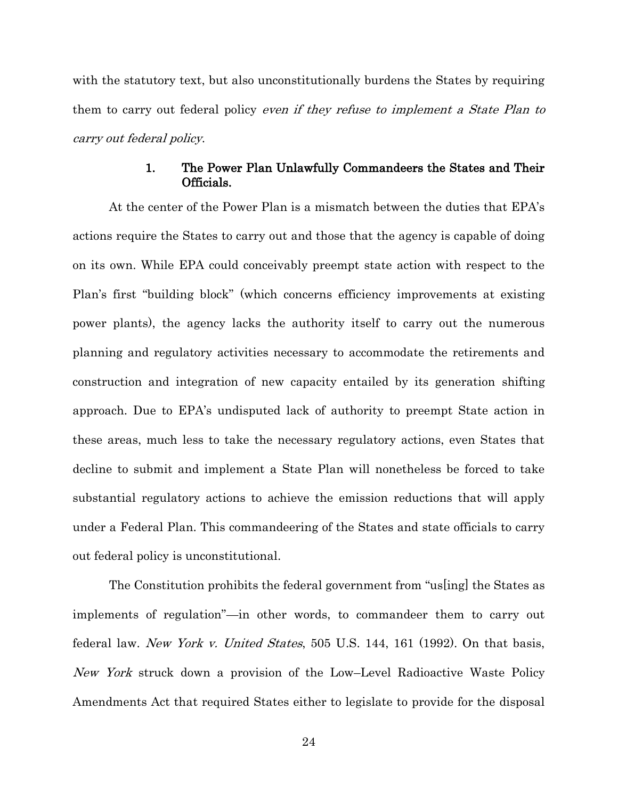with the statutory text, but also unconstitutionally burdens the States by requiring them to carry out federal policy *even if they refuse to implement a State Plan to* carry out federal policy.

## 1. The Power Plan Unlawfully Commandeers the States and Their Officials.

<span id="page-31-0"></span>At the center of the Power Plan is a mismatch between the duties that EPA's actions require the States to carry out and those that the agency is capable of doing on its own. While EPA could conceivably preempt state action with respect to the Plan's first "building block" (which concerns efficiency improvements at existing power plants), the agency lacks the authority itself to carry out the numerous planning and regulatory activities necessary to accommodate the retirements and construction and integration of new capacity entailed by its generation shifting approach. Due to EPA's undisputed lack of authority to preempt State action in these areas, much less to take the necessary regulatory actions, even States that decline to submit and implement a State Plan will nonetheless be forced to take substantial regulatory actions to achieve the emission reductions that will apply under a Federal Plan. This commandeering of the States and state officials to carry out federal policy is unconstitutional.

The Constitution prohibits the federal government from "us[ing] the States as implements of regulation"—in other words, to commandeer them to carry out federal law. New York v. United States, 505 U.S. 144, 161 (1992). On that basis, New York struck down a provision of the Low–Level Radioactive Waste Policy Amendments Act that required States either to legislate to provide for the disposal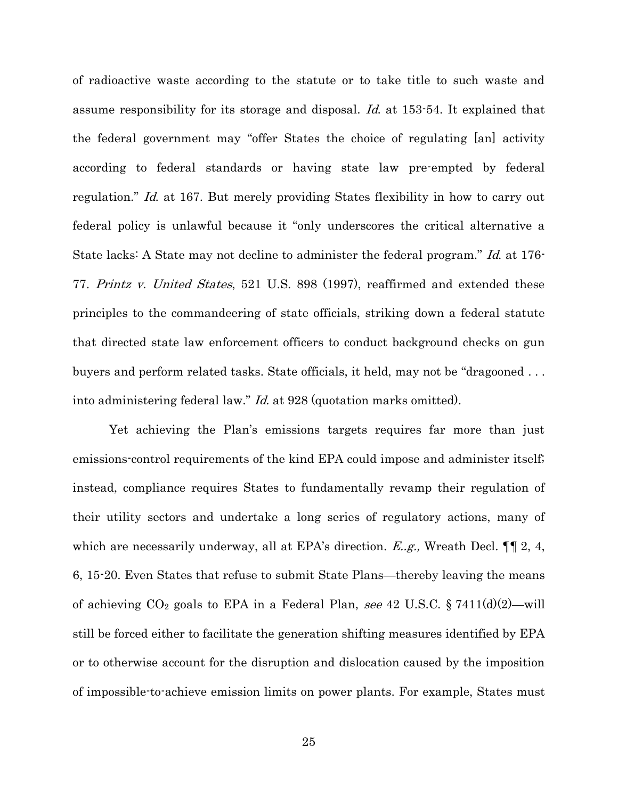of radioactive waste according to the statute or to take title to such waste and assume responsibility for its storage and disposal. Id. at 153-54. It explained that the federal government may "offer States the choice of regulating [an] activity according to federal standards or having state law pre-empted by federal regulation." Id. at 167. But merely providing States flexibility in how to carry out federal policy is unlawful because it "only underscores the critical alternative a State lacks: A State may not decline to administer the federal program." Id. at 176-77. Printz v. United States, 521 U.S. 898 (1997), reaffirmed and extended these principles to the commandeering of state officials, striking down a federal statute that directed state law enforcement officers to conduct background checks on gun buyers and perform related tasks. State officials, it held, may not be "dragooned . . . into administering federal law." Id. at 928 (quotation marks omitted).

Yet achieving the Plan's emissions targets requires far more than just emissions-control requirements of the kind EPA could impose and administer itself; instead, compliance requires States to fundamentally revamp their regulation of their utility sectors and undertake a long series of regulatory actions, many of which are necessarily underway, all at EPA's direction.  $E.g.,$  Wreath Decl.  $\P\P$  2, 4, 6, 15-20. Even States that refuse to submit State Plans—thereby leaving the means of achieving  $CO_2$  goals to EPA in a Federal Plan, see 42 U.S.C. § 7411(d)(2)—will still be forced either to facilitate the generation shifting measures identified by EPA or to otherwise account for the disruption and dislocation caused by the imposition of impossible-to-achieve emission limits on power plants. For example, States must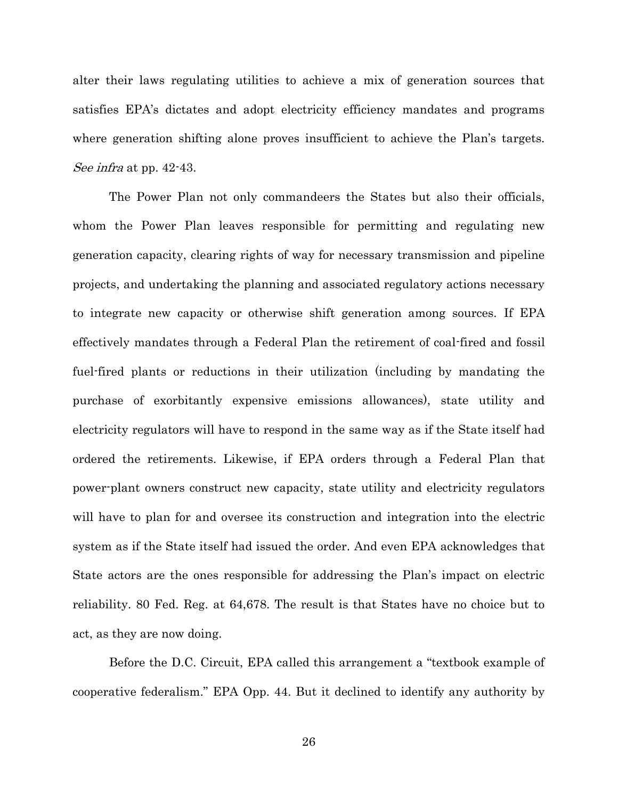alter their laws regulating utilities to achieve a mix of generation sources that satisfies EPA's dictates and adopt electricity efficiency mandates and programs where generation shifting alone proves insufficient to achieve the Plan's targets. See infra at pp. 42-43.

The Power Plan not only commandeers the States but also their officials, whom the Power Plan leaves responsible for permitting and regulating new generation capacity, clearing rights of way for necessary transmission and pipeline projects, and undertaking the planning and associated regulatory actions necessary to integrate new capacity or otherwise shift generation among sources. If EPA effectively mandates through a Federal Plan the retirement of coal-fired and fossil fuel-fired plants or reductions in their utilization (including by mandating the purchase of exorbitantly expensive emissions allowances), state utility and electricity regulators will have to respond in the same way as if the State itself had ordered the retirements. Likewise, if EPA orders through a Federal Plan that power-plant owners construct new capacity, state utility and electricity regulators will have to plan for and oversee its construction and integration into the electric system as if the State itself had issued the order. And even EPA acknowledges that State actors are the ones responsible for addressing the Plan's impact on electric reliability. 80 Fed. Reg. at 64,678. The result is that States have no choice but to act, as they are now doing.

Before the D.C. Circuit, EPA called this arrangement a "textbook example of cooperative federalism." EPA Opp. 44. But it declined to identify any authority by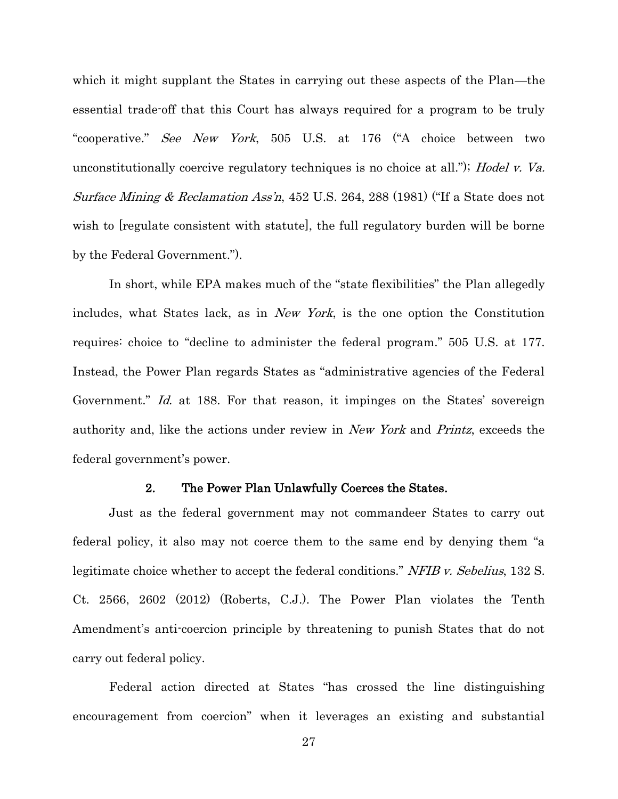which it might supplant the States in carrying out these aspects of the Plan—the essential trade-off that this Court has always required for a program to be truly "cooperative." See New York, 505 U.S. at 176 ("A choice between two unconstitutionally coercive regulatory techniques is no choice at all."); Hodel v. Va. Surface Mining & Reclamation Ass'n, 452 U.S. 264, 288 (1981) ("If a State does not wish to [regulate consistent with statute], the full regulatory burden will be borne by the Federal Government.").

In short, while EPA makes much of the "state flexibilities" the Plan allegedly includes, what States lack, as in New York, is the one option the Constitution requires: choice to "decline to administer the federal program." 505 U.S. at 177. Instead, the Power Plan regards States as "administrative agencies of the Federal Government." Id. at 188. For that reason, it impinges on the States' sovereign authority and, like the actions under review in New York and Printz, exceeds the federal government's power.

#### 2. The Power Plan Unlawfully Coerces the States.

<span id="page-34-0"></span>Just as the federal government may not commandeer States to carry out federal policy, it also may not coerce them to the same end by denying them "a legitimate choice whether to accept the federal conditions." NFIB v. Sebelius, 132 S. Ct. 2566, 2602 (2012) (Roberts, C.J.). The Power Plan violates the Tenth Amendment's anti-coercion principle by threatening to punish States that do not carry out federal policy.

Federal action directed at States "has crossed the line distinguishing encouragement from coercion" when it leverages an existing and substantial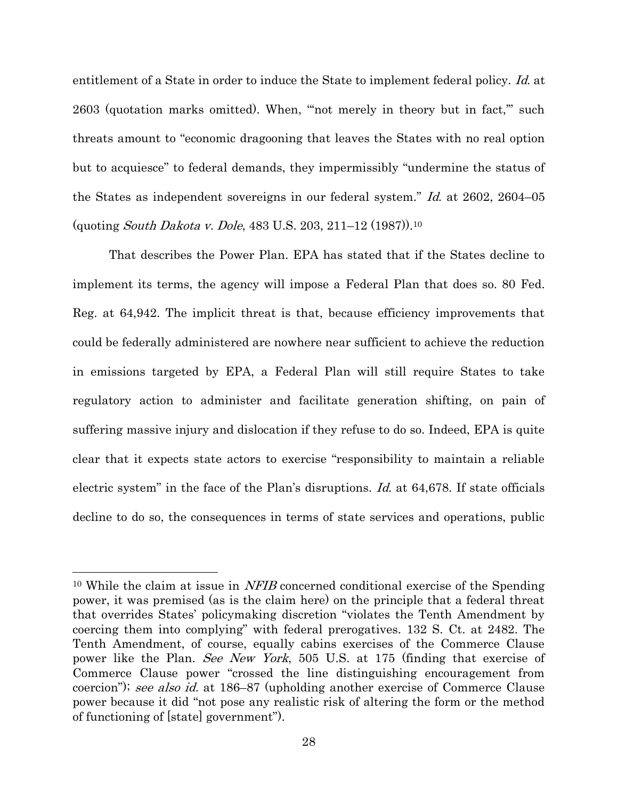entitlement of a State in order to induce the State to implement federal policy. Id. at 2603 (quotation marks omitted). When, "'not merely in theory but in fact,'" such threats amount to "economic dragooning that leaves the States with no real option but to acquiesce" to federal demands, they impermissibly "undermine the status of the States as independent sovereigns in our federal system." Id. at 2602, 2604–05 (quoting South Dakota v. Dole, 483 U.S. 203, 211–12 (1987)).<sup>10</sup>

That describes the Power Plan. EPA has stated that if the States decline to implement its terms, the agency will impose a Federal Plan that does so. 80 Fed. Reg. at 64,942. The implicit threat is that, because efficiency improvements that could be federally administered are nowhere near sufficient to achieve the reduction in emissions targeted by EPA, a Federal Plan will still require States to take regulatory action to administer and facilitate generation shifting, on pain of suffering massive injury and dislocation if they refuse to do so. Indeed, EPA is quite clear that it expects state actors to exercise "responsibility to maintain a reliable electric system" in the face of the Plan's disruptions. Id. at 64,678. If state officials decline to do so, the consequences in terms of state services and operations, public

<sup>&</sup>lt;sup>10</sup> While the claim at issue in *NFIB* concerned conditional exercise of the Spending power, it was premised (as is the claim here) on the principle that a federal threat that overrides States' policymaking discretion "violates the Tenth Amendment by coercing them into complying" with federal prerogatives. 132 S. Ct. at 2482. The Tenth Amendment, of course, equally cabins exercises of the Commerce Clause power like the Plan. See New York, 505 U.S. at 175 (finding that exercise of Commerce Clause power "crossed the line distinguishing encouragement from coercion"); see also id. at 186–87 (upholding another exercise of Commerce Clause power because it did "not pose any realistic risk of altering the form or the method of functioning of [state] government").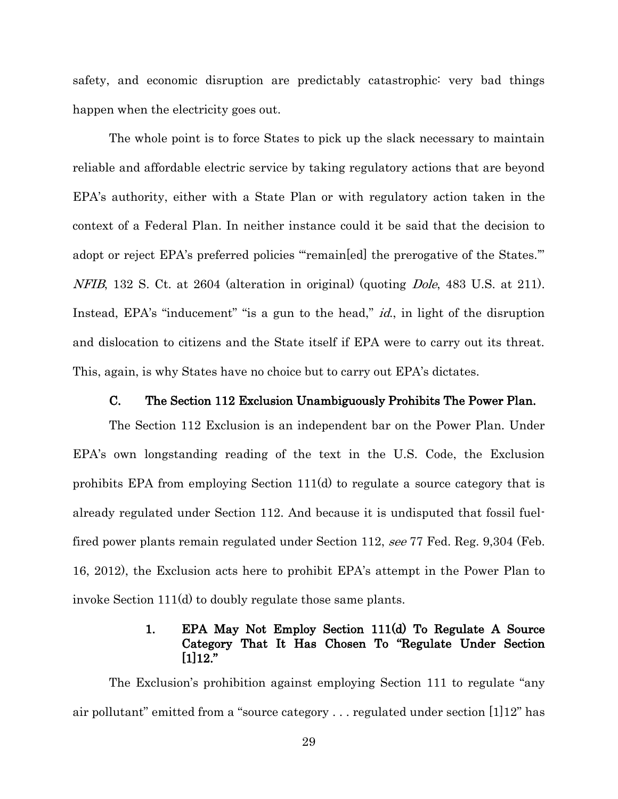safety, and economic disruption are predictably catastrophic: very bad things happen when the electricity goes out.

The whole point is to force States to pick up the slack necessary to maintain reliable and affordable electric service by taking regulatory actions that are beyond EPA's authority, either with a State Plan or with regulatory action taken in the context of a Federal Plan. In neither instance could it be said that the decision to adopt or reject EPA's preferred policies "remain[ed] the prerogative of the States." NFIB, 132 S. Ct. at 2604 (alteration in original) (quoting Dole, 483 U.S. at 211). Instead, EPA's "inducement" "is a gun to the head," *id.*, in light of the disruption and dislocation to citizens and the State itself if EPA were to carry out its threat. This, again, is why States have no choice but to carry out EPA's dictates.

#### C. The Section 112 Exclusion Unambiguously Prohibits The Power Plan.

<span id="page-36-0"></span>The Section 112 Exclusion is an independent bar on the Power Plan. Under EPA's own longstanding reading of the text in the U.S. Code, the Exclusion prohibits EPA from employing Section 111(d) to regulate a source category that is already regulated under Section 112. And because it is undisputed that fossil fuelfired power plants remain regulated under Section 112, see 77 Fed. Reg. 9,304 (Feb. 16, 2012), the Exclusion acts here to prohibit EPA's attempt in the Power Plan to invoke Section 111(d) to doubly regulate those same plants.

## 1. EPA May Not Employ Section 111(d) To Regulate A Source Category That It Has Chosen To "Regulate Under Section [1]12."

<span id="page-36-1"></span>The Exclusion's prohibition against employing Section 111 to regulate "any air pollutant" emitted from a "source category . . . regulated under section [1]12" has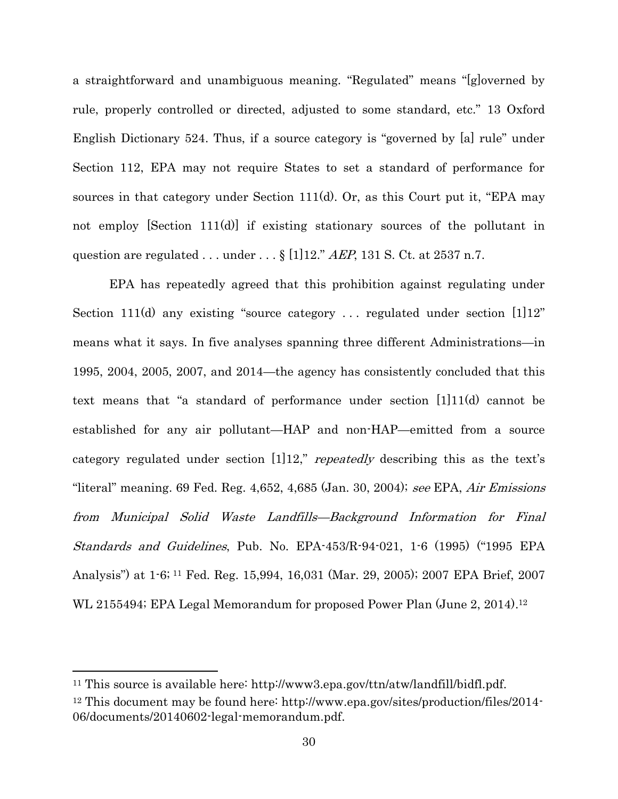a straightforward and unambiguous meaning. "Regulated" means "[g]overned by rule, properly controlled or directed, adjusted to some standard, etc." 13 Oxford English Dictionary 524. Thus, if a source category is "governed by [a] rule" under Section 112, EPA may not require States to set a standard of performance for sources in that category under Section 111(d). Or, as this Court put it, "EPA may not employ [Section 111(d)] if existing stationary sources of the pollutant in question are regulated ... under  $\ldots$  § [1]12." AEP, 131 S. Ct. at 2537 n.7.

EPA has repeatedly agreed that this prohibition against regulating under Section 111(d) any existing "source category ... regulated under section  $[1]12"$ means what it says. In five analyses spanning three different Administrations—in 1995, 2004, 2005, 2007, and 2014—the agency has consistently concluded that this text means that "a standard of performance under section [1]11(d) cannot be established for any air pollutant—HAP and non-HAP—emitted from a source category regulated under section  $[1]12$ ," *repeatedly* describing this as the text's "literal" meaning. 69 Fed. Reg.  $4,652, 4,685$  (Jan. 30, 2004); see EPA, Air Emissions from Municipal Solid Waste Landfills—Background Information for Final Standards and Guidelines, Pub. No. EPA-453/R-94-021, 1-6 (1995) ("1995 EPA Analysis") at 1-6; <sup>11</sup> Fed. Reg. 15,994, 16,031 (Mar. 29, 2005); 2007 EPA Brief, 2007 WL 2155494; EPA Legal Memorandum for proposed Power Plan (June 2, 2014).<sup>12</sup>

<sup>11</sup> This source is available here: http://www3.epa.gov/ttn/atw/landfill/bidfl.pdf. <sup>12</sup> This document may be found here: http://www.epa.gov/sites/production/files/2014- 06/documents/20140602-legal-memorandum.pdf.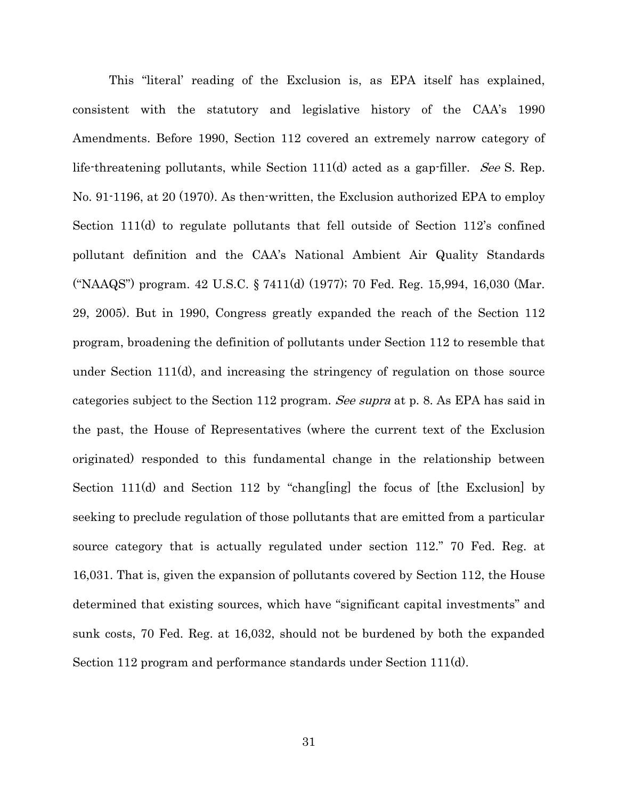This "literal' reading of the Exclusion is, as EPA itself has explained, consistent with the statutory and legislative history of the CAA's 1990 Amendments. Before 1990, Section 112 covered an extremely narrow category of life-threatening pollutants, while Section 111(d) acted as a gap-filler. See S. Rep. No. 91-1196, at 20 (1970). As then-written, the Exclusion authorized EPA to employ Section 111(d) to regulate pollutants that fell outside of Section 112's confined pollutant definition and the CAA's National Ambient Air Quality Standards ("NAAQS") program. 42 U.S.C. § 7411(d) (1977); 70 Fed. Reg. 15,994, 16,030 (Mar. 29, 2005). But in 1990, Congress greatly expanded the reach of the Section 112 program, broadening the definition of pollutants under Section 112 to resemble that under Section 111(d), and increasing the stringency of regulation on those source categories subject to the Section 112 program. See supra at p. 8. As EPA has said in the past, the House of Representatives (where the current text of the Exclusion originated) responded to this fundamental change in the relationship between Section 111(d) and Section 112 by "chang[ing] the focus of [the Exclusion] by seeking to preclude regulation of those pollutants that are emitted from a particular source category that is actually regulated under section 112." 70 Fed. Reg. at 16,031. That is, given the expansion of pollutants covered by Section 112, the House determined that existing sources, which have "significant capital investments" and sunk costs, 70 Fed. Reg. at 16,032, should not be burdened by both the expanded Section 112 program and performance standards under Section 111(d).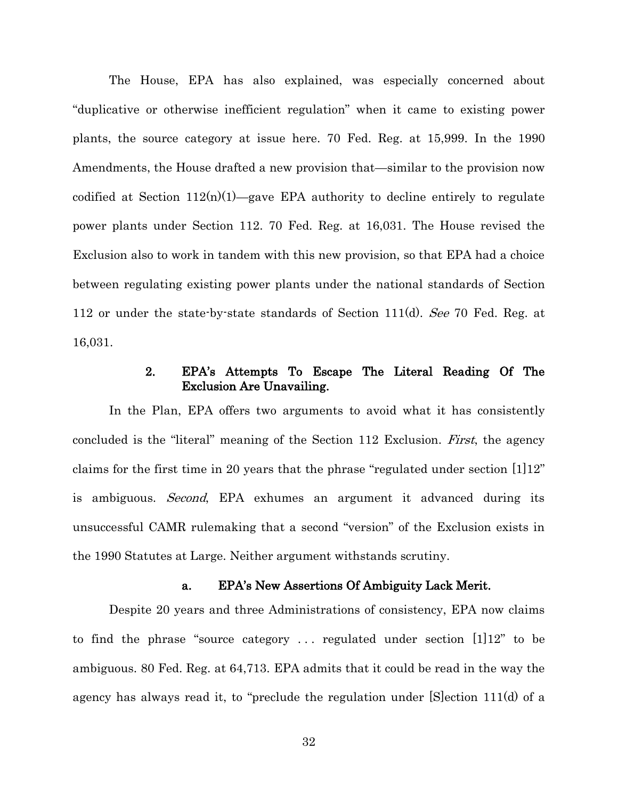The House, EPA has also explained, was especially concerned about "duplicative or otherwise inefficient regulation" when it came to existing power plants, the source category at issue here. 70 Fed. Reg. at 15,999. In the 1990 Amendments, the House drafted a new provision that—similar to the provision now codified at Section  $112(n)(1)$ —gave EPA authority to decline entirely to regulate power plants under Section 112. 70 Fed. Reg. at 16,031. The House revised the Exclusion also to work in tandem with this new provision, so that EPA had a choice between regulating existing power plants under the national standards of Section 112 or under the state-by-state standards of Section 111(d). See 70 Fed. Reg. at 16,031.

## 2. EPA's Attempts To Escape The Literal Reading Of The Exclusion Are Unavailing.

<span id="page-39-0"></span>In the Plan, EPA offers two arguments to avoid what it has consistently concluded is the "literal" meaning of the Section 112 Exclusion. First, the agency claims for the first time in 20 years that the phrase "regulated under section [1]12" is ambiguous. *Second*, EPA exhumes an argument it advanced during its unsuccessful CAMR rulemaking that a second "version" of the Exclusion exists in the 1990 Statutes at Large. Neither argument withstands scrutiny.

#### a. EPA's New Assertions Of Ambiguity Lack Merit.

<span id="page-39-1"></span>Despite 20 years and three Administrations of consistency, EPA now claims to find the phrase "source category . . . regulated under section [1]12" to be ambiguous. 80 Fed. Reg. at 64,713. EPA admits that it could be read in the way the agency has always read it, to "preclude the regulation under [S]ection 111(d) of a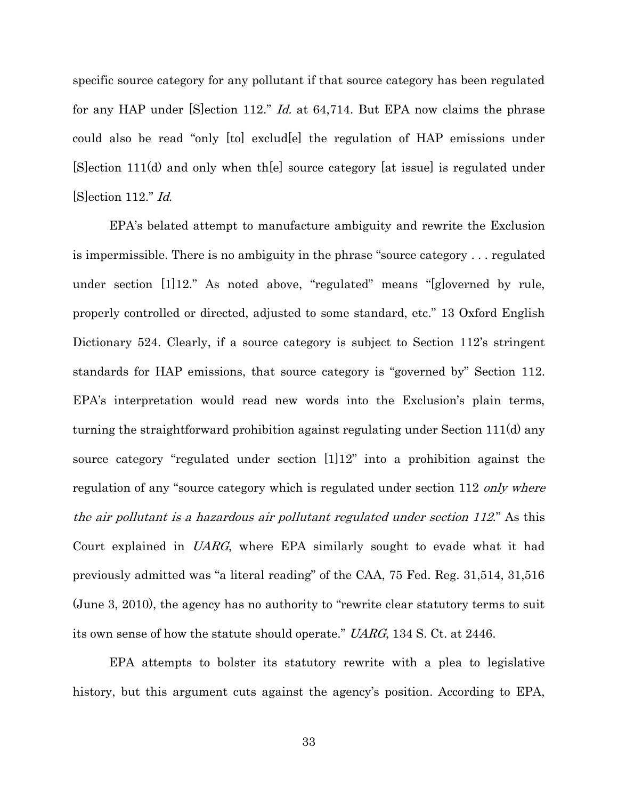specific source category for any pollutant if that source category has been regulated for any HAP under [S]ection 112." *Id.* at 64,714. But EPA now claims the phrase could also be read "only [to] exclud[e] the regulation of HAP emissions under [S]ection 111(d) and only when th[e] source category [at issue] is regulated under [S]ection 112." Id.

EPA's belated attempt to manufacture ambiguity and rewrite the Exclusion is impermissible. There is no ambiguity in the phrase "source category . . . regulated under section [1]12." As noted above, "regulated" means "[g]overned by rule, properly controlled or directed, adjusted to some standard, etc." 13 Oxford English Dictionary 524. Clearly, if a source category is subject to Section 112's stringent standards for HAP emissions, that source category is "governed by" Section 112. EPA's interpretation would read new words into the Exclusion's plain terms, turning the straightforward prohibition against regulating under Section 111(d) any source category "regulated under section [1]12" into a prohibition against the regulation of any "source category which is regulated under section 112 only where the air pollutant is a hazardous air pollutant regulated under section 112." As this Court explained in UARG, where EPA similarly sought to evade what it had previously admitted was "a literal reading" of the CAA, 75 Fed. Reg. 31,514, 31,516 (June 3, 2010), the agency has no authority to "rewrite clear statutory terms to suit its own sense of how the statute should operate." UARG, 134 S. Ct. at 2446.

EPA attempts to bolster its statutory rewrite with a plea to legislative history, but this argument cuts against the agency's position. According to EPA,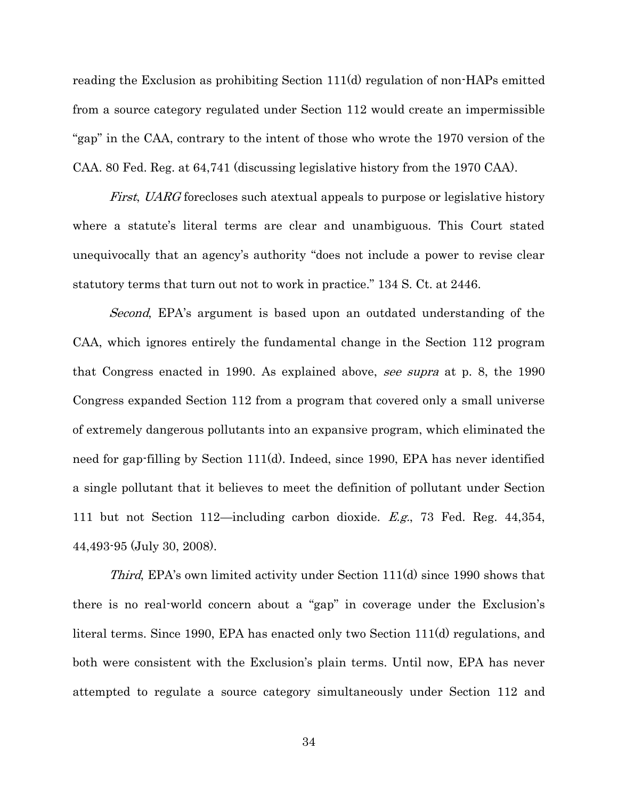reading the Exclusion as prohibiting Section 111(d) regulation of non-HAPs emitted from a source category regulated under Section 112 would create an impermissible "gap" in the CAA, contrary to the intent of those who wrote the 1970 version of the CAA. 80 Fed. Reg. at 64,741 (discussing legislative history from the 1970 CAA).

*First, UARG* forecloses such atextual appeals to purpose or legislative history where a statute's literal terms are clear and unambiguous. This Court stated unequivocally that an agency's authority "does not include a power to revise clear statutory terms that turn out not to work in practice." 134 S. Ct. at 2446.

Second, EPA's argument is based upon an outdated understanding of the CAA, which ignores entirely the fundamental change in the Section 112 program that Congress enacted in 1990. As explained above, see supra at p. 8, the 1990 Congress expanded Section 112 from a program that covered only a small universe of extremely dangerous pollutants into an expansive program, which eliminated the need for gap-filling by Section 111(d). Indeed, since 1990, EPA has never identified a single pollutant that it believes to meet the definition of pollutant under Section 111 but not Section 112—including carbon dioxide. E.g., 73 Fed. Reg. 44,354, 44,493-95 (July 30, 2008).

Third, EPA's own limited activity under Section 111(d) since 1990 shows that there is no real-world concern about a "gap" in coverage under the Exclusion's literal terms. Since 1990, EPA has enacted only two Section 111(d) regulations, and both were consistent with the Exclusion's plain terms. Until now, EPA has never attempted to regulate a source category simultaneously under Section 112 and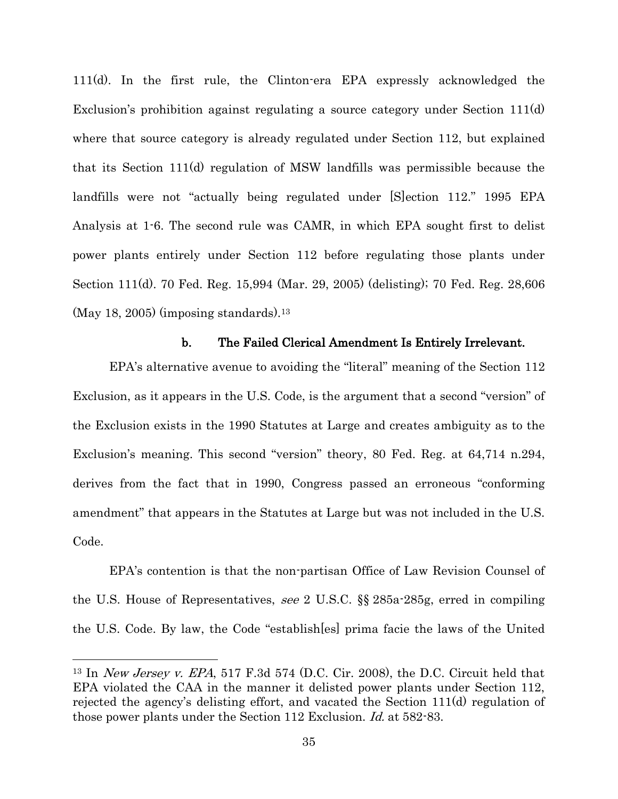111(d). In the first rule, the Clinton-era EPA expressly acknowledged the Exclusion's prohibition against regulating a source category under Section 111(d) where that source category is already regulated under Section 112, but explained that its Section 111(d) regulation of MSW landfills was permissible because the landfills were not "actually being regulated under [S]ection 112." 1995 EPA Analysis at 1-6. The second rule was CAMR, in which EPA sought first to delist power plants entirely under Section 112 before regulating those plants under Section 111(d). 70 Fed. Reg. 15,994 (Mar. 29, 2005) (delisting); 70 Fed. Reg. 28,606  $(May 18, 2005)$  (imposing standards).<sup>13</sup>

#### b. The Failed Clerical Amendment Is Entirely Irrelevant.

<span id="page-42-0"></span>EPA's alternative avenue to avoiding the "literal" meaning of the Section 112 Exclusion, as it appears in the U.S. Code, is the argument that a second "version" of the Exclusion exists in the 1990 Statutes at Large and creates ambiguity as to the Exclusion's meaning. This second "version" theory, 80 Fed. Reg. at 64,714 n.294, derives from the fact that in 1990, Congress passed an erroneous "conforming amendment" that appears in the Statutes at Large but was not included in the U.S. Code.

EPA's contention is that the non-partisan Office of Law Revision Counsel of the U.S. House of Representatives, see 2 U.S.C. §§ 285a-285g, erred in compiling the U.S. Code. By law, the Code "establish[es] prima facie the laws of the United

l

<sup>13</sup> In New Jersey v. EPA, 517 F.3d 574 (D.C. Cir. 2008), the D.C. Circuit held that EPA violated the CAA in the manner it delisted power plants under Section 112, rejected the agency's delisting effort, and vacated the Section 111(d) regulation of those power plants under the Section 112 Exclusion. Id. at 582-83.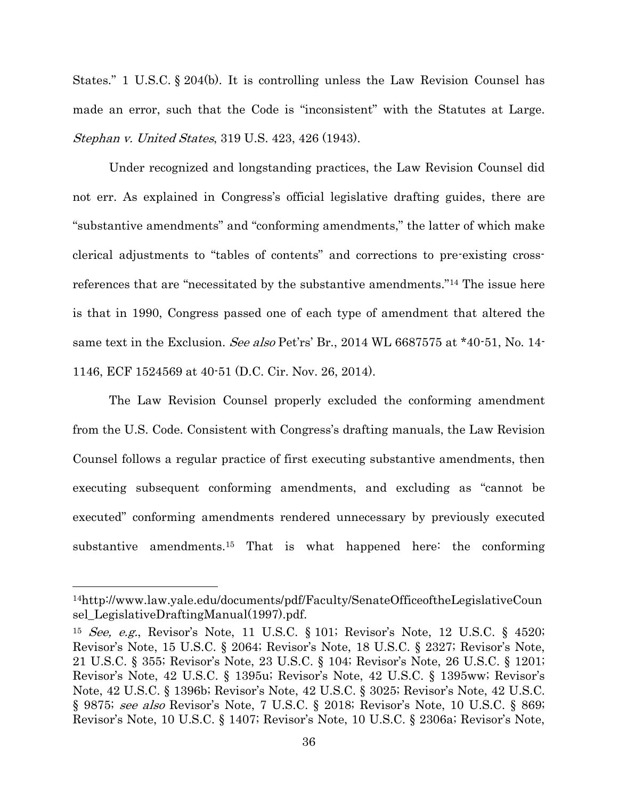States." 1 U.S.C. § 204(b). It is controlling unless the Law Revision Counsel has made an error, such that the Code is "inconsistent" with the Statutes at Large. Stephan v. United States, 319 U.S. 423, 426 (1943).

Under recognized and longstanding practices, the Law Revision Counsel did not err. As explained in Congress's official legislative drafting guides, there are "substantive amendments" and "conforming amendments," the latter of which make clerical adjustments to "tables of contents" and corrections to pre-existing crossreferences that are "necessitated by the substantive amendments."<sup>14</sup> The issue here is that in 1990, Congress passed one of each type of amendment that altered the same text in the Exclusion. See also Pet'rs' Br., 2014 WL 6687575 at \*40-51, No. 14-1146, ECF 1524569 at 40-51 (D.C. Cir. Nov. 26, 2014).

The Law Revision Counsel properly excluded the conforming amendment from the U.S. Code. Consistent with Congress's drafting manuals, the Law Revision Counsel follows a regular practice of first executing substantive amendments, then executing subsequent conforming amendments, and excluding as "cannot be executed" conforming amendments rendered unnecessary by previously executed substantive amendments.<sup>15</sup> That is what happened here: the conforming

<sup>14</sup>http://www.law.yale.edu/documents/pdf/Faculty/SenateOfficeoftheLegislativeCoun sel\_LegislativeDraftingManual(1997).pdf.

<sup>&</sup>lt;sup>15</sup> See, e.g., Revisor's Note, 11 U.S.C. § 101; Revisor's Note, 12 U.S.C. § 4520; Revisor's Note, 15 U.S.C. § 2064; Revisor's Note, 18 U.S.C. § 2327; Revisor's Note, 21 U.S.C. § 355; Revisor's Note, 23 U.S.C. § 104; Revisor's Note, 26 U.S.C. § 1201; Revisor's Note, 42 U.S.C. § 1395u; Revisor's Note, 42 U.S.C. § 1395ww; Revisor's Note, 42 U.S.C. § 1396b; Revisor's Note, 42 U.S.C. § 3025; Revisor's Note, 42 U.S.C. § 9875; see also Revisor's Note, 7 U.S.C. § 2018; Revisor's Note, 10 U.S.C. § 869; Revisor's Note, 10 U.S.C. § 1407; Revisor's Note, 10 U.S.C. § 2306a; Revisor's Note,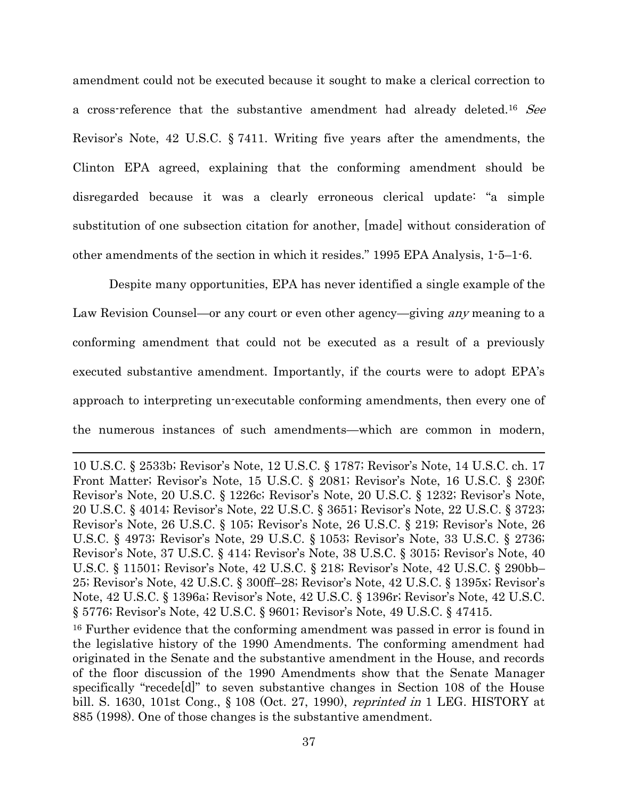amendment could not be executed because it sought to make a clerical correction to a cross-reference that the substantive amendment had already deleted.<sup>16</sup> See Revisor's Note, 42 U.S.C. § 7411. Writing five years after the amendments, the Clinton EPA agreed, explaining that the conforming amendment should be disregarded because it was a clearly erroneous clerical update: "a simple substitution of one subsection citation for another, [made] without consideration of other amendments of the section in which it resides." 1995 EPA Analysis, 1-5–1-6.

Despite many opportunities, EPA has never identified a single example of the Law Revision Counsel—or any court or even other agency—giving any meaning to a conforming amendment that could not be executed as a result of a previously executed substantive amendment. Importantly, if the courts were to adopt EPA's approach to interpreting un-executable conforming amendments, then every one of the numerous instances of such amendments—which are common in modern,

<sup>10</sup> U.S.C. § 2533b; Revisor's Note, 12 U.S.C. § 1787; Revisor's Note, 14 U.S.C. ch. 17 Front Matter; Revisor's Note, 15 U.S.C. § 2081; Revisor's Note, 16 U.S.C. § 230f; Revisor's Note, 20 U.S.C. § 1226c; Revisor's Note, 20 U.S.C. § 1232; Revisor's Note, 20 U.S.C. § 4014; Revisor's Note, 22 U.S.C. § 3651; Revisor's Note, 22 U.S.C. § 3723; Revisor's Note, 26 U.S.C. § 105; Revisor's Note, 26 U.S.C. § 219; Revisor's Note, 26 U.S.C. § 4973; Revisor's Note, 29 U.S.C. § 1053; Revisor's Note, 33 U.S.C. § 2736; Revisor's Note, 37 U.S.C. § 414; Revisor's Note, 38 U.S.C. § 3015; Revisor's Note, 40 U.S.C. § 11501; Revisor's Note, 42 U.S.C. § 218; Revisor's Note, 42 U.S.C. § 290bb– 25; Revisor's Note, 42 U.S.C. § 300ff–28; Revisor's Note, 42 U.S.C. § 1395x; Revisor's Note, 42 U.S.C. § 1396a; Revisor's Note, 42 U.S.C. § 1396r; Revisor's Note, 42 U.S.C. § 5776; Revisor's Note, 42 U.S.C. § 9601; Revisor's Note, 49 U.S.C. § 47415.

<sup>16</sup> Further evidence that the conforming amendment was passed in error is found in the legislative history of the 1990 Amendments. The conforming amendment had originated in the Senate and the substantive amendment in the House, and records of the floor discussion of the 1990 Amendments show that the Senate Manager specifically "recede[d]" to seven substantive changes in Section 108 of the House bill. S. 1630, 101st Cong., § 108 (Oct. 27, 1990), reprinted in 1 LEG. HISTORY at 885 (1998). One of those changes is the substantive amendment.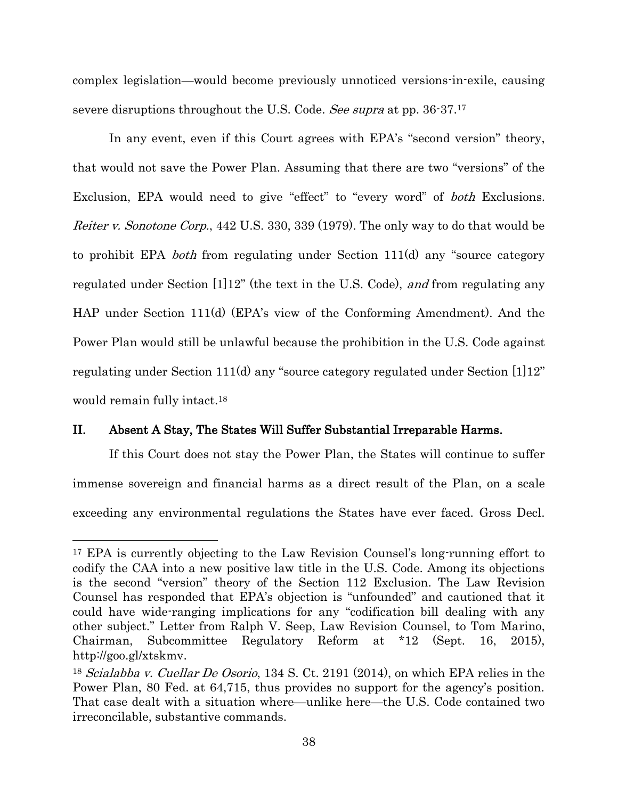complex legislation—would become previously unnoticed versions-in-exile, causing severe disruptions throughout the U.S. Code. See supra at pp. 36-37.<sup>17</sup>

In any event, even if this Court agrees with EPA's "second version" theory, that would not save the Power Plan. Assuming that there are two "versions" of the Exclusion, EPA would need to give "effect" to "every word" of both Exclusions. *Reiter v. Sonotone Corp.*, 442 U.S. 330, 339 (1979). The only way to do that would be to prohibit EPA both from regulating under Section 111(d) any "source category regulated under Section [1]12" (the text in the U.S. Code), and from regulating any HAP under Section 111(d) (EPA's view of the Conforming Amendment). And the Power Plan would still be unlawful because the prohibition in the U.S. Code against regulating under Section 111(d) any "source category regulated under Section [1]12" would remain fully intact.<sup>18</sup>

#### <span id="page-45-0"></span>II. Absent A Stay, The States Will Suffer Substantial Irreparable Harms.

 $\overline{\phantom{a}}$ 

If this Court does not stay the Power Plan, the States will continue to suffer immense sovereign and financial harms as a direct result of the Plan, on a scale exceeding any environmental regulations the States have ever faced. Gross Decl.

<sup>17</sup> EPA is currently objecting to the Law Revision Counsel's long-running effort to codify the CAA into a new positive law title in the U.S. Code. Among its objections is the second "version" theory of the Section 112 Exclusion. The Law Revision Counsel has responded that EPA's objection is "unfounded" and cautioned that it could have wide-ranging implications for any "codification bill dealing with any other subject." Letter from Ralph V. Seep, Law Revision Counsel, to Tom Marino, Chairman, Subcommittee Regulatory Reform at \*12 (Sept. 16, 2015), http://goo.gl/xtskmv.

<sup>&</sup>lt;sup>18</sup> Scialabba v. Cuellar De Osorio, 134 S. Ct. 2191 (2014), on which EPA relies in the Power Plan, 80 Fed. at 64,715, thus provides no support for the agency's position. That case dealt with a situation where—unlike here—the U.S. Code contained two irreconcilable, substantive commands.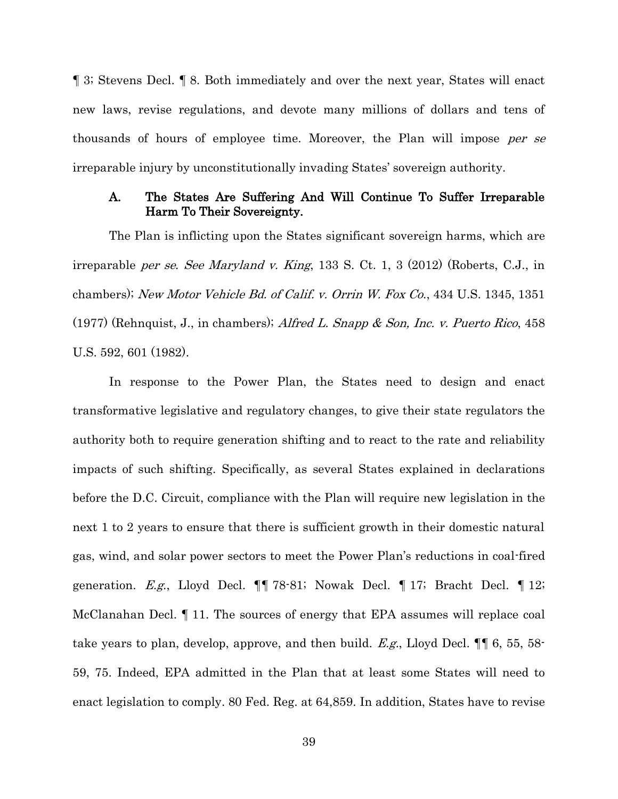¶ 3; Stevens Decl. ¶ 8. Both immediately and over the next year, States will enact new laws, revise regulations, and devote many millions of dollars and tens of thousands of hours of employee time. Moreover, the Plan will impose per se irreparable injury by unconstitutionally invading States' sovereign authority.

#### <span id="page-46-0"></span>A. The States Are Suffering And Will Continue To Suffer Irreparable Harm To Their Sovereignty.

The Plan is inflicting upon the States significant sovereign harms, which are irreparable per se. See Maryland v. King, 133 S. Ct. 1, 3 (2012) (Roberts, C.J., in chambers); New Motor Vehicle Bd. of Calif. v. Orrin W. Fox Co., 434 U.S. 1345, 1351 (1977) (Rehnquist, J., in chambers); Alfred L. Snapp & Son, Inc. v. Puerto Rico, 458 U.S. 592, 601 (1982).

In response to the Power Plan, the States need to design and enact transformative legislative and regulatory changes, to give their state regulators the authority both to require generation shifting and to react to the rate and reliability impacts of such shifting. Specifically, as several States explained in declarations before the D.C. Circuit, compliance with the Plan will require new legislation in the next 1 to 2 years to ensure that there is sufficient growth in their domestic natural gas, wind, and solar power sectors to meet the Power Plan's reductions in coal-fired generation. E.g., Lloyd Decl. ¶¶ 78-81; Nowak Decl. ¶ 17; Bracht Decl. ¶ 12; McClanahan Decl. ¶ 11. The sources of energy that EPA assumes will replace coal take years to plan, develop, approve, and then build. E.g., Lloyd Decl.  $\P\P$  6, 55, 58-59, 75. Indeed, EPA admitted in the Plan that at least some States will need to enact legislation to comply. 80 Fed. Reg. at 64,859. In addition, States have to revise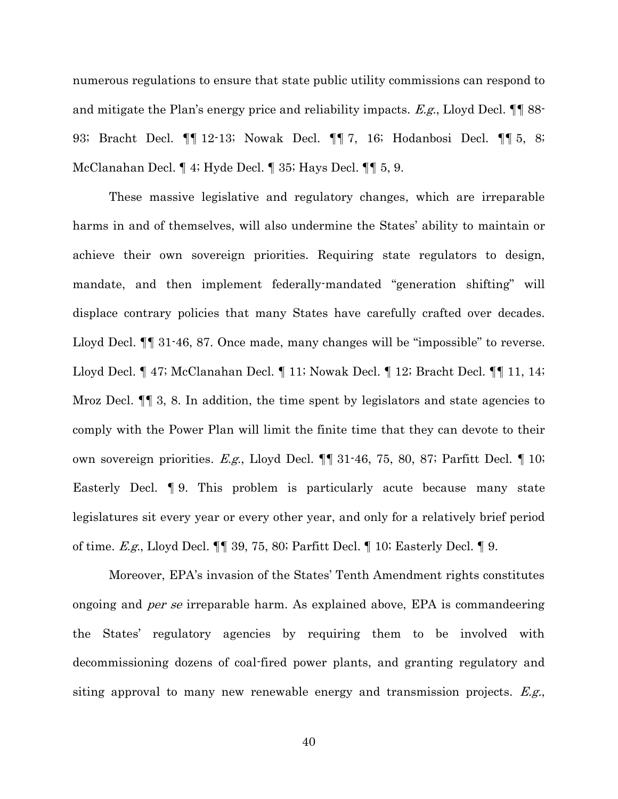numerous regulations to ensure that state public utility commissions can respond to and mitigate the Plan's energy price and reliability impacts. E.g., Lloyd Decl.  $\P\P$  88-93; Bracht Decl. ¶¶ 12-13; Nowak Decl. ¶¶ 7, 16; Hodanbosi Decl. ¶¶ 5, 8; McClanahan Decl. ¶ 4; Hyde Decl. ¶ 35; Hays Decl. ¶¶ 5, 9.

These massive legislative and regulatory changes, which are irreparable harms in and of themselves, will also undermine the States' ability to maintain or achieve their own sovereign priorities. Requiring state regulators to design, mandate, and then implement federally-mandated "generation shifting" will displace contrary policies that many States have carefully crafted over decades. Lloyd Decl. ¶¶ 31-46, 87. Once made, many changes will be "impossible" to reverse. Lloyd Decl. ¶ 47; McClanahan Decl. ¶ 11; Nowak Decl. ¶ 12; Bracht Decl. ¶¶ 11, 14; Mroz Decl.  $\P\P$  3, 8. In addition, the time spent by legislators and state agencies to comply with the Power Plan will limit the finite time that they can devote to their own sovereign priorities. E.g., Lloyd Decl. ¶¶ 31-46, 75, 80, 87; Parfitt Decl. ¶ 10; Easterly Decl. ¶ 9. This problem is particularly acute because many state legislatures sit every year or every other year, and only for a relatively brief period of time. E.g., Lloyd Decl. ¶¶ 39, 75, 80; Parfitt Decl. ¶ 10; Easterly Decl. ¶ 9.

Moreover, EPA's invasion of the States' Tenth Amendment rights constitutes ongoing and per se irreparable harm. As explained above, EPA is commandeering the States' regulatory agencies by requiring them to be involved with decommissioning dozens of coal-fired power plants, and granting regulatory and siting approval to many new renewable energy and transmission projects. *E.g.*,

40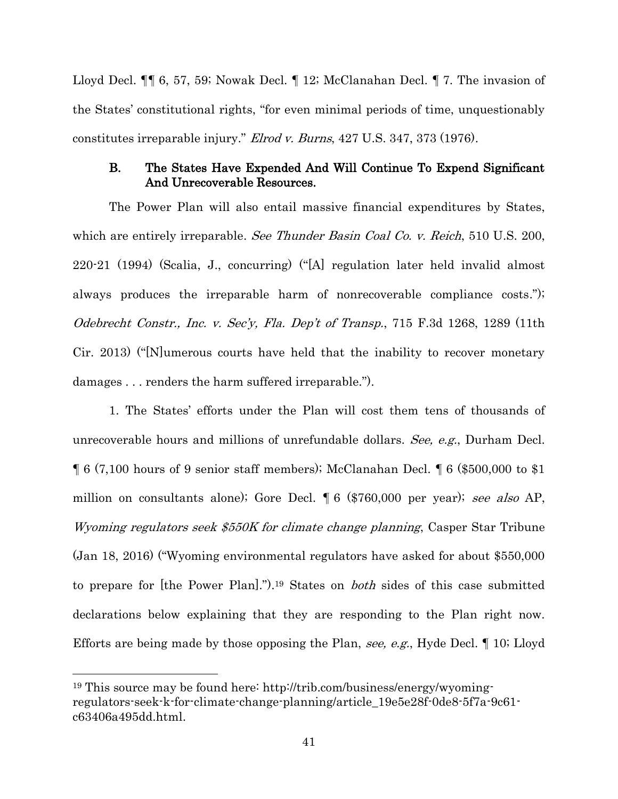Lloyd Decl. ¶¶ 6, 57, 59; Nowak Decl. ¶ 12; McClanahan Decl. ¶ 7. The invasion of the States' constitutional rights, "for even minimal periods of time, unquestionably constitutes irreparable injury." Elrod v. Burns, 427 U.S. 347, 373 (1976).

### <span id="page-48-0"></span>B. The States Have Expended And Will Continue To Expend Significant And Unrecoverable Resources.

The Power Plan will also entail massive financial expenditures by States, which are entirely irreparable. See Thunder Basin Coal Co. v. Reich, 510 U.S. 200, 220-21 (1994) (Scalia, J., concurring) ("[A] regulation later held invalid almost always produces the irreparable harm of nonrecoverable compliance costs."); Odebrecht Constr., Inc. v. Sec'y, Fla. Dep't of Transp., 715 F.3d 1268, 1289 (11th Cir. 2013) ("[N]umerous courts have held that the inability to recover monetary damages . . . renders the harm suffered irreparable.").

1. The States' efforts under the Plan will cost them tens of thousands of unrecoverable hours and millions of unrefundable dollars. See, e.g., Durham Decl. ¶ 6 (7,100 hours of 9 senior staff members); McClanahan Decl. ¶ 6 (\$500,000 to \$1 million on consultants alone); Gore Decl. [6 (\$760,000 per year); see also AP, Wyoming regulators seek \$550K for climate change planning, Casper Star Tribune (Jan 18, 2016) ("Wyoming environmental regulators have asked for about \$550,000 to prepare for [the Power Plan].").<sup>19</sup> States on *both* sides of this case submitted declarations below explaining that they are responding to the Plan right now. Efforts are being made by those opposing the Plan, see, e.g., Hyde Decl. 1 10; Lloyd

<sup>19</sup> This source may be found here: http://trib.com/business/energy/wyomingregulators-seek-k-for-climate-change-planning/article\_19e5e28f-0de8-5f7a-9c61 c63406a495dd.html.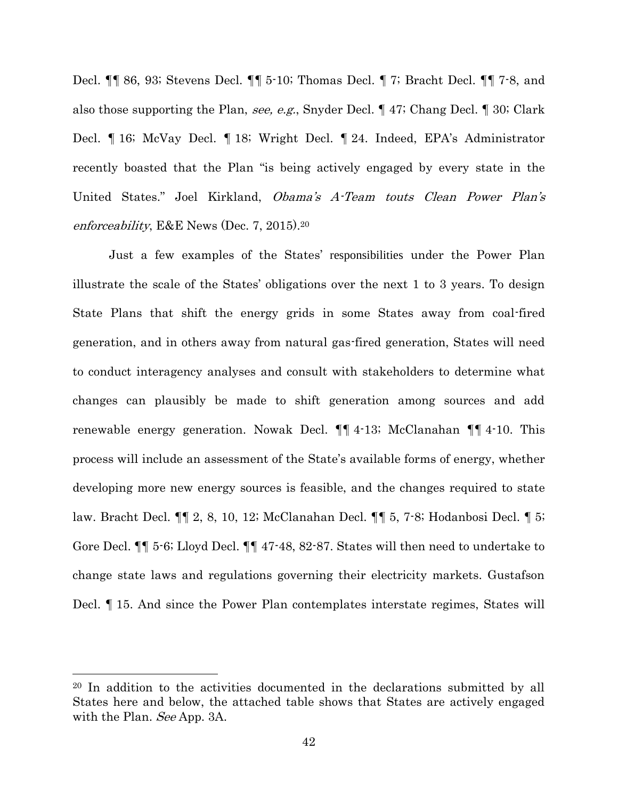Decl. ¶¶ 86, 93; Stevens Decl. ¶¶ 5-10; Thomas Decl. ¶ 7; Bracht Decl. ¶¶ 7-8, and also those supporting the Plan, see, e.g., Snyder Decl. ¶ 47; Chang Decl. ¶ 30; Clark Decl. ¶ 16; McVay Decl. ¶ 18; Wright Decl. ¶ 24. Indeed, EPA's Administrator recently boasted that the Plan "is being actively engaged by every state in the United States." Joel Kirkland, Obama's A-Team touts Clean Power Plan's enforceability, E&E News (Dec. 7, 2015).<sup>20</sup>

Just a few examples of the States' responsibilities under the Power Plan illustrate the scale of the States' obligations over the next 1 to 3 years. To design State Plans that shift the energy grids in some States away from coal-fired generation, and in others away from natural gas-fired generation, States will need to conduct interagency analyses and consult with stakeholders to determine what changes can plausibly be made to shift generation among sources and add renewable energy generation. Nowak Decl. ¶¶ 4-13; McClanahan ¶¶ 4-10. This process will include an assessment of the State's available forms of energy, whether developing more new energy sources is feasible, and the changes required to state law. Bracht Decl. ¶¶ 2, 8, 10, 12; McClanahan Decl. ¶¶ 5, 7-8; Hodanbosi Decl. ¶ 5; Gore Decl. ¶¶ 5-6; Lloyd Decl. ¶¶ 47-48, 82-87. States will then need to undertake to change state laws and regulations governing their electricity markets. Gustafson Decl. ¶ 15. And since the Power Plan contemplates interstate regimes, States will

<sup>20</sup> In addition to the activities documented in the declarations submitted by all States here and below, the attached table shows that States are actively engaged with the Plan. See App. 3A.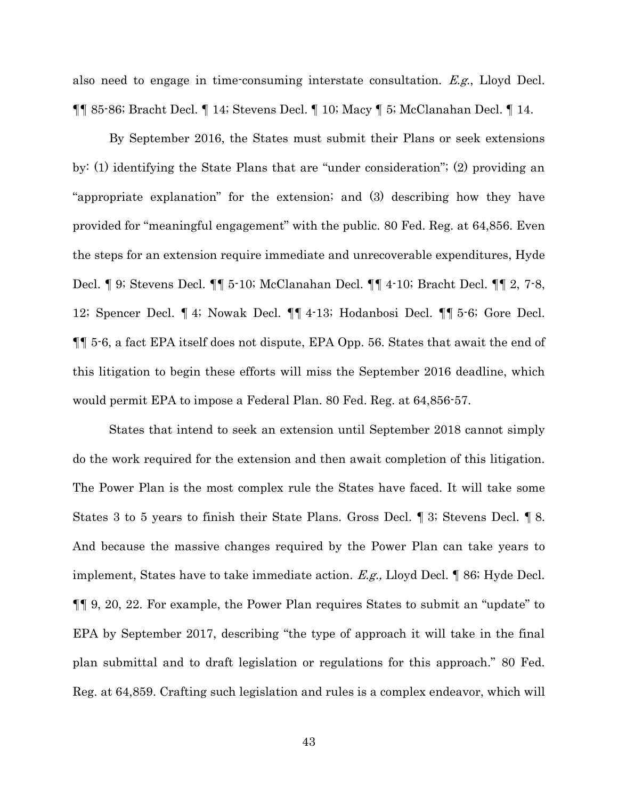also need to engage in time-consuming interstate consultation. E.g., Lloyd Decl. ¶¶ 85-86; Bracht Decl. ¶ 14; Stevens Decl. ¶ 10; Macy ¶ 5; McClanahan Decl. ¶ 14.

By September 2016, the States must submit their Plans or seek extensions by: (1) identifying the State Plans that are "under consideration"; (2) providing an "appropriate explanation" for the extension; and (3) describing how they have provided for "meaningful engagement" with the public. 80 Fed. Reg. at 64,856. Even the steps for an extension require immediate and unrecoverable expenditures, Hyde Decl. ¶ 9; Stevens Decl. ¶¶ 5-10; McClanahan Decl. ¶¶ 4-10; Bracht Decl. ¶¶ 2, 7-8, 12; Spencer Decl. ¶ 4; Nowak Decl. ¶¶ 4-13; Hodanbosi Decl. ¶¶ 5-6; Gore Decl. ¶¶ 5-6, a fact EPA itself does not dispute, EPA Opp. 56. States that await the end of this litigation to begin these efforts will miss the September 2016 deadline, which would permit EPA to impose a Federal Plan. 80 Fed. Reg. at 64,856-57.

States that intend to seek an extension until September 2018 cannot simply do the work required for the extension and then await completion of this litigation. The Power Plan is the most complex rule the States have faced. It will take some States 3 to 5 years to finish their State Plans. Gross Decl. ¶ 3; Stevens Decl. ¶ 8. And because the massive changes required by the Power Plan can take years to implement, States have to take immediate action. E.g., Lloyd Decl. ¶ 86; Hyde Decl. ¶¶ 9, 20, 22. For example, the Power Plan requires States to submit an "update" to EPA by September 2017, describing "the type of approach it will take in the final plan submittal and to draft legislation or regulations for this approach." 80 Fed. Reg. at 64,859. Crafting such legislation and rules is a complex endeavor, which will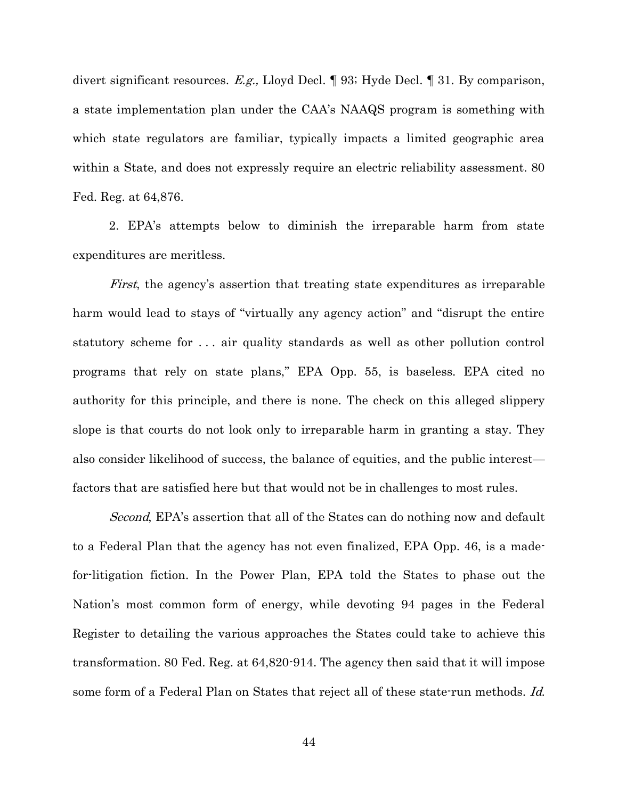divert significant resources. E.g., Lloyd Decl. ¶ 93; Hyde Decl. ¶ 31. By comparison, a state implementation plan under the CAA's NAAQS program is something with which state regulators are familiar, typically impacts a limited geographic area within a State, and does not expressly require an electric reliability assessment. 80 Fed. Reg. at 64,876.

2. EPA's attempts below to diminish the irreparable harm from state expenditures are meritless.

First, the agency's assertion that treating state expenditures as irreparable harm would lead to stays of "virtually any agency action" and "disrupt the entire statutory scheme for . . . air quality standards as well as other pollution control programs that rely on state plans," EPA Opp. 55, is baseless. EPA cited no authority for this principle, and there is none. The check on this alleged slippery slope is that courts do not look only to irreparable harm in granting a stay. They also consider likelihood of success, the balance of equities, and the public interest factors that are satisfied here but that would not be in challenges to most rules.

Second, EPA's assertion that all of the States can do nothing now and default to a Federal Plan that the agency has not even finalized, EPA Opp. 46, is a madefor-litigation fiction. In the Power Plan, EPA told the States to phase out the Nation's most common form of energy, while devoting 94 pages in the Federal Register to detailing the various approaches the States could take to achieve this transformation. 80 Fed. Reg. at 64,820-914. The agency then said that it will impose some form of a Federal Plan on States that reject all of these state-run methods. Id.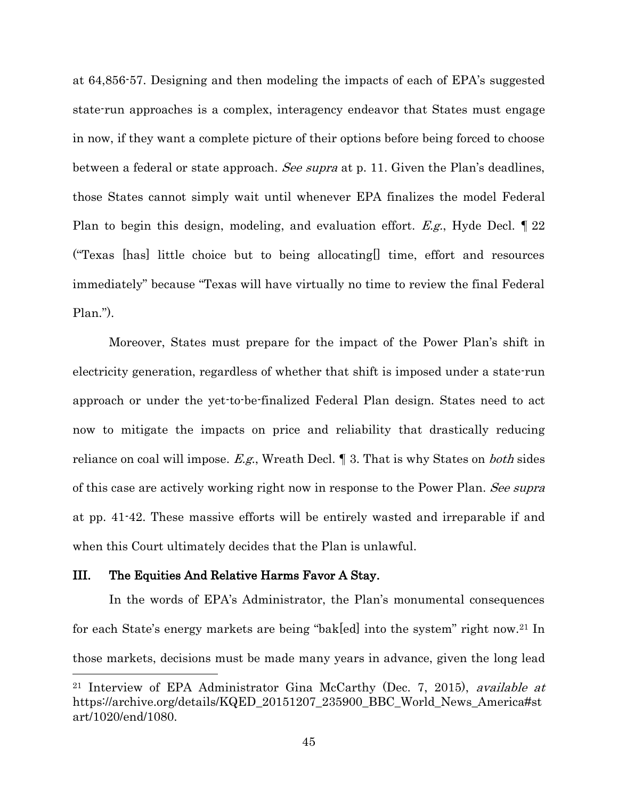at 64,856-57. Designing and then modeling the impacts of each of EPA's suggested state-run approaches is a complex, interagency endeavor that States must engage in now, if they want a complete picture of their options before being forced to choose between a federal or state approach. See supra at p. 11. Given the Plan's deadlines, those States cannot simply wait until whenever EPA finalizes the model Federal Plan to begin this design, modeling, and evaluation effort. E.g., Hyde Decl. 122 ("Texas [has] little choice but to being allocating[] time, effort and resources immediately" because "Texas will have virtually no time to review the final Federal Plan.").

Moreover, States must prepare for the impact of the Power Plan's shift in electricity generation, regardless of whether that shift is imposed under a state-run approach or under the yet-to-be-finalized Federal Plan design. States need to act now to mitigate the impacts on price and reliability that drastically reducing reliance on coal will impose. E.g., Wreath Decl.  $\parallel$  3. That is why States on *both* sides of this case are actively working right now in response to the Power Plan. See supra at pp. 41-42. These massive efforts will be entirely wasted and irreparable if and when this Court ultimately decides that the Plan is unlawful.

#### <span id="page-52-0"></span>III. The Equities And Relative Harms Favor A Stay.

 $\overline{\phantom{a}}$ 

In the words of EPA's Administrator, the Plan's monumental consequences for each State's energy markets are being "bak[ed] into the system" right now.<sup>21</sup> In those markets, decisions must be made many years in advance, given the long lead

<sup>&</sup>lt;sup>21</sup> Interview of EPA Administrator Gina McCarthy (Dec. 7, 2015), *available at* https://archive.org/details/KQED\_20151207\_235900\_BBC\_World\_News\_America#st art/1020/end/1080.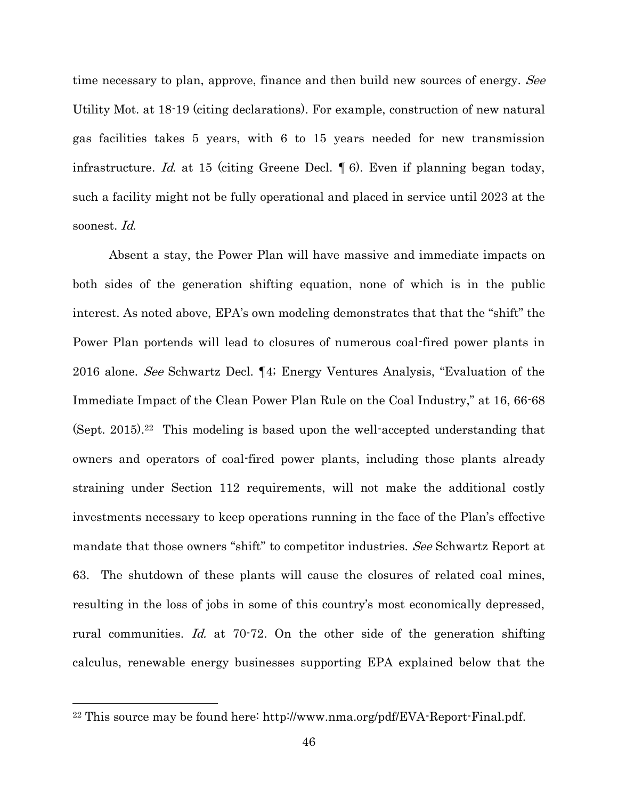time necessary to plan, approve, finance and then build new sources of energy. See Utility Mot. at 18-19 (citing declarations). For example, construction of new natural gas facilities takes 5 years, with 6 to 15 years needed for new transmission infrastructure. Id. at 15 (citing Greene Decl. ¶ 6). Even if planning began today, such a facility might not be fully operational and placed in service until 2023 at the soonest. Id.

Absent a stay, the Power Plan will have massive and immediate impacts on both sides of the generation shifting equation, none of which is in the public interest. As noted above, EPA's own modeling demonstrates that that the "shift" the Power Plan portends will lead to closures of numerous coal-fired power plants in 2016 alone. See Schwartz Decl. ¶4; Energy Ventures Analysis, "Evaluation of the Immediate Impact of the Clean Power Plan Rule on the Coal Industry," at 16, 66-68 (Sept. 2015).<sup>22</sup> This modeling is based upon the well-accepted understanding that owners and operators of coal-fired power plants, including those plants already straining under Section 112 requirements, will not make the additional costly investments necessary to keep operations running in the face of the Plan's effective mandate that those owners "shift" to competitor industries. See Schwartz Report at 63. The shutdown of these plants will cause the closures of related coal mines, resulting in the loss of jobs in some of this country's most economically depressed, rural communities. Id. at  $70-72$ . On the other side of the generation shifting calculus, renewable energy businesses supporting EPA explained below that the

<sup>22</sup> This source may be found here: http://www.nma.org/pdf/EVA-Report-Final.pdf.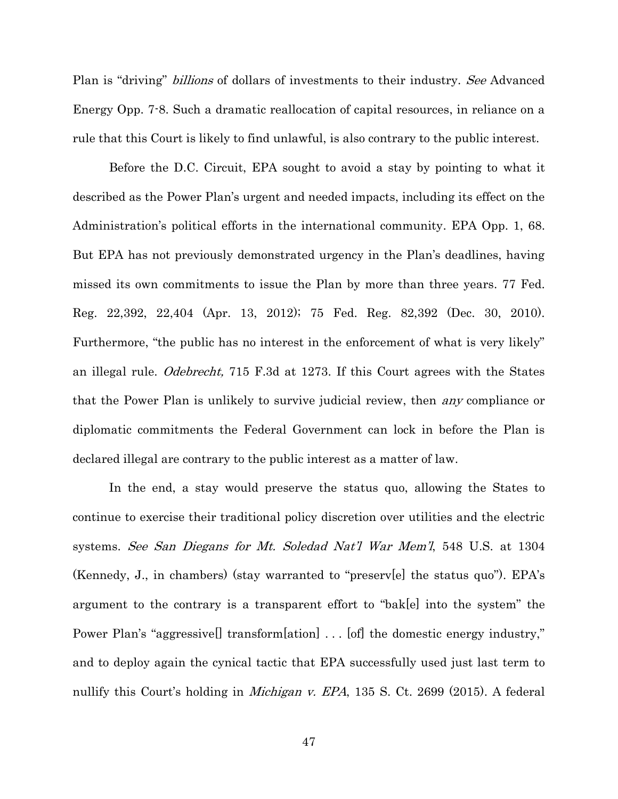Plan is "driving" *billions* of dollars of investments to their industry. See Advanced Energy Opp. 7-8. Such a dramatic reallocation of capital resources, in reliance on a rule that this Court is likely to find unlawful, is also contrary to the public interest.

Before the D.C. Circuit, EPA sought to avoid a stay by pointing to what it described as the Power Plan's urgent and needed impacts, including its effect on the Administration's political efforts in the international community. EPA Opp. 1, 68. But EPA has not previously demonstrated urgency in the Plan's deadlines, having missed its own commitments to issue the Plan by more than three years. 77 Fed. Reg. 22,392, 22,404 (Apr. 13, 2012); 75 Fed. Reg. 82,392 (Dec. 30, 2010). Furthermore, "the public has no interest in the enforcement of what is very likely" an illegal rule. Odebrecht, 715 F.3d at 1273. If this Court agrees with the States that the Power Plan is unlikely to survive judicial review, then any compliance or diplomatic commitments the Federal Government can lock in before the Plan is declared illegal are contrary to the public interest as a matter of law.

In the end, a stay would preserve the status quo, allowing the States to continue to exercise their traditional policy discretion over utilities and the electric systems. See San Diegans for Mt. Soledad Nat'l War Mem'l, 548 U.S. at 1304 (Kennedy, J., in chambers) (stay warranted to "preserv[e] the status quo"). EPA's argument to the contrary is a transparent effort to "bak[e] into the system" the Power Plan's "aggressive<sup>[]</sup> transform[ation] . . . [of] the domestic energy industry," and to deploy again the cynical tactic that EPA successfully used just last term to nullify this Court's holding in *Michigan v. EPA*, 135 S. Ct. 2699 (2015). A federal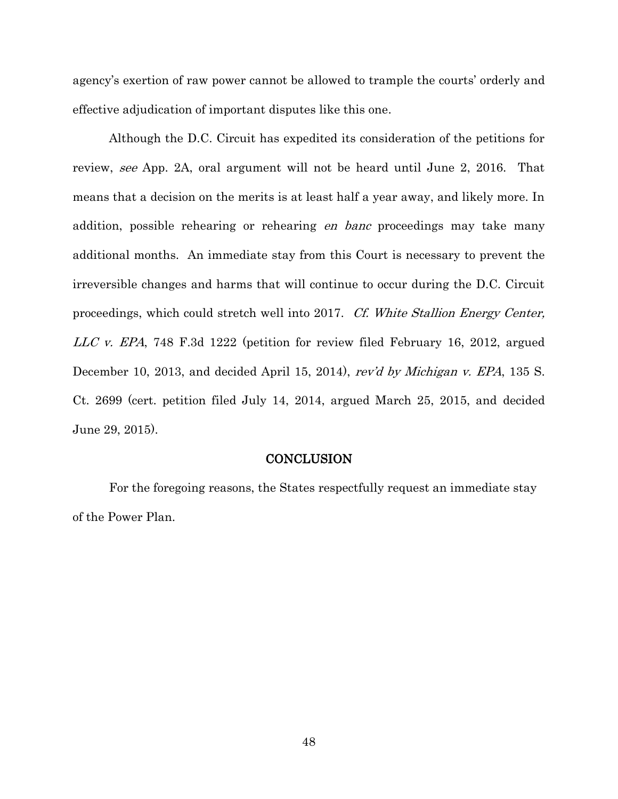agency's exertion of raw power cannot be allowed to trample the courts' orderly and effective adjudication of important disputes like this one.

Although the D.C. Circuit has expedited its consideration of the petitions for review, see App. 2A, oral argument will not be heard until June 2, 2016. That means that a decision on the merits is at least half a year away, and likely more. In addition, possible rehearing or rehearing *en banc* proceedings may take many additional months. An immediate stay from this Court is necessary to prevent the irreversible changes and harms that will continue to occur during the D.C. Circuit proceedings, which could stretch well into 2017. Cf. White Stallion Energy Center, LLC v. EPA, 748 F.3d 1222 (petition for review filed February 16, 2012, argued December 10, 2013, and decided April 15, 2014), rev'd by Michigan v. EPA, 135 S. Ct. 2699 (cert. petition filed July 14, 2014, argued March 25, 2015, and decided June 29, 2015).

#### **CONCLUSION**

<span id="page-55-0"></span>For the foregoing reasons, the States respectfully request an immediate stay of the Power Plan.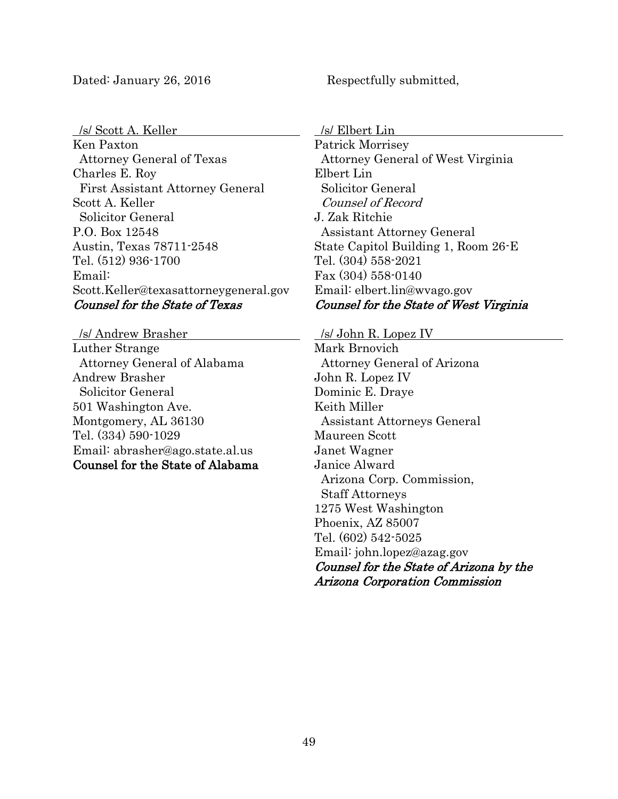#### Dated: January 26, 2016 Respectfully submitted,

/s/ Scott A. Keller

Ken Paxton Attorney General of Texas Charles E. Roy First Assistant Attorney General Scott A. Keller Solicitor General P.O. Box 12548 Austin, Texas 78711-2548 Tel. (512) 936-1700 Email: Scott.Keller@texasattorneygeneral.gov Counsel for the State of Texas

 /s/ Andrew Brasher Luther Strange Attorney General of Alabama Andrew Brasher Solicitor General 501 Washington Ave. Montgomery, AL 36130 Tel. (334) 590-1029 Email: abrasher@ago.state.al.us Counsel for the State of Alabama

/s/ Elbert Lin

Patrick Morrisey Attorney General of West Virginia Elbert Lin Solicitor General Counsel of Record J. Zak Ritchie Assistant Attorney General State Capitol Building 1, Room 26-E Tel. (304) 558-2021 Fax (304) 558-0140 Email: elbert.lin@wvago.gov Counsel for the State of West Virginia

/s/ John R. Lopez IV

Mark Brnovich Attorney General of Arizona John R. Lopez IV Dominic E. Draye Keith Miller Assistant Attorneys General Maureen Scott Janet Wagner Janice Alward Arizona Corp. Commission, Staff Attorneys 1275 West Washington Phoenix, AZ 85007 Tel. (602) 542-5025 Email: john.lopez@azag.gov Counsel for the State of Arizona by the Arizona Corporation Commission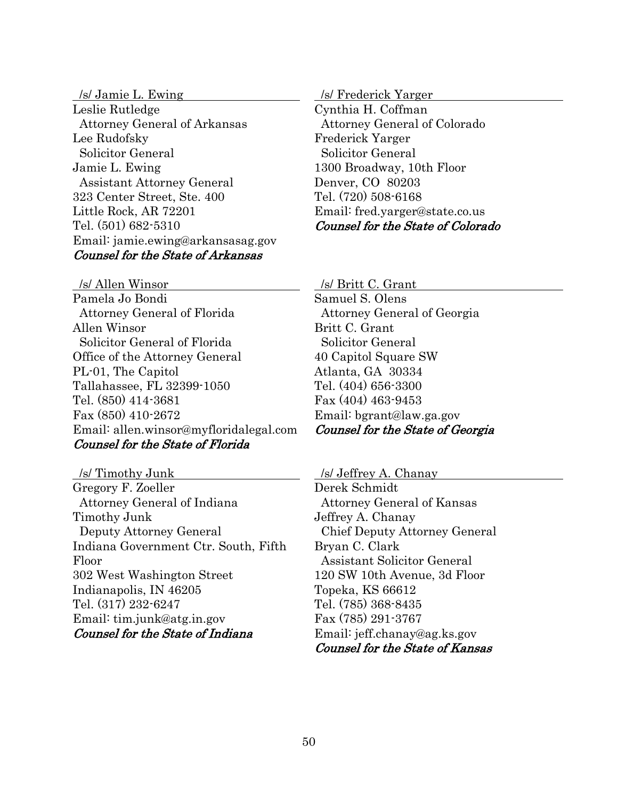/s/ Jamie L. Ewing Leslie Rutledge Attorney General of Arkansas Lee Rudofsky Solicitor General Jamie L. Ewing Assistant Attorney General 323 Center Street, Ste. 400 Little Rock, AR 72201 Tel. (501) 682-5310 Email: jamie.ewing@arkansasag.gov Counsel for the State of Arkansas

/s/ Allen Winsor

Pamela Jo Bondi Attorney General of Florida Allen Winsor Solicitor General of Florida Office of the Attorney General PL-01, The Capitol Tallahassee, FL 32399-1050 Tel. (850) 414-3681 Fax (850) 410-2672 Email: allen.winsor@myfloridalegal.com Counsel for the State of Florida

 /s/ Timothy Junk Gregory F. Zoeller Attorney General of Indiana Timothy Junk Deputy Attorney General Indiana Government Ctr. South, Fifth Floor 302 West Washington Street Indianapolis, IN 46205 Tel. (317) 232-6247 Email: tim.junk@atg.in.gov Counsel for the State of Indiana

/s/ Frederick Yarger

Cynthia H. Coffman Attorney General of Colorado Frederick Yarger Solicitor General 1300 Broadway, 10th Floor Denver, CO 80203 Tel. (720) 508-6168 Email: fred.yarger@state.co.us Counsel for the State of Colorado

/s/ Britt C. Grant

Samuel S. Olens Attorney General of Georgia Britt C. Grant Solicitor General 40 Capitol Square SW Atlanta, GA 30334 Tel. (404) 656-3300 Fax (404) 463-9453 Email: bgrant@law.ga.gov Counsel for the State of Georgia

/s/ Jeffrey A. Chanay

Derek Schmidt Attorney General of Kansas Jeffrey A. Chanay Chief Deputy Attorney General Bryan C. Clark Assistant Solicitor General 120 SW 10th Avenue, 3d Floor Topeka, KS 66612 Tel. (785) 368-8435 Fax (785) 291-3767 Email: jeff.chanay@ag.ks.gov Counsel for the State of Kansas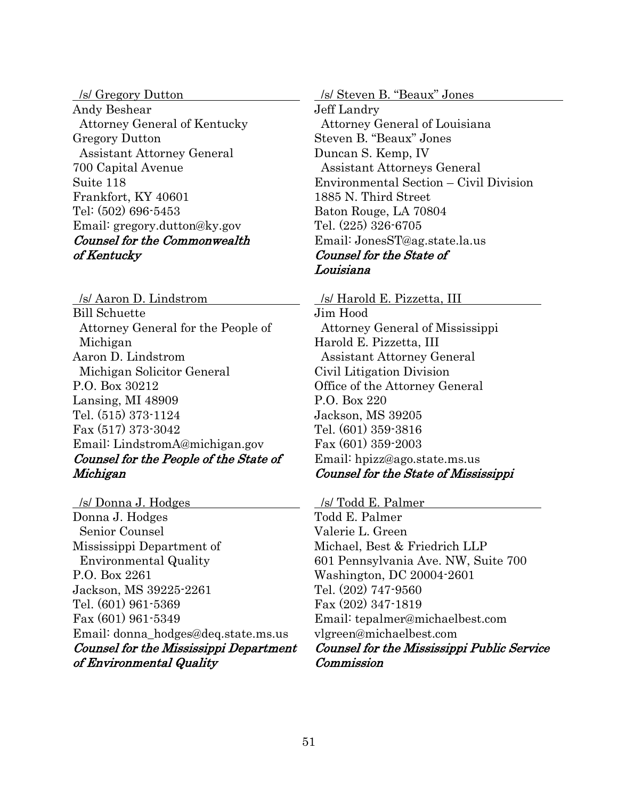/s/ Gregory Dutton Andy Beshear Attorney General of Kentucky Gregory Dutton Assistant Attorney General 700 Capital Avenue Suite 118 Frankfort, KY 40601 Tel: (502) 696-5453 Email: gregory.dutton@ky.gov Counsel for the Commonwealth of Kentucky

 /s/ Aaron D. Lindstrom Bill Schuette Attorney General for the People of Michigan Aaron D. Lindstrom Michigan Solicitor General P.O. Box 30212 Lansing, MI 48909 Tel. (515) 373-1124 Fax (517) 373-3042 Email: LindstromA@michigan.gov Counsel for the People of the State of Michigan

 /s/ Donna J. Hodges Donna J. Hodges Senior Counsel Mississippi Department of Environmental Quality P.O. Box 2261 Jackson, MS 39225-2261 Tel. (601) 961-5369 Fax (601) 961-5349 Email: donna\_hodges@deq.state.ms.us Counsel for the Mississippi Department of Environmental Quality

 /s/ Steven B. "Beaux" Jones Jeff Landry Attorney General of Louisiana Steven B. "Beaux" Jones Duncan S. Kemp, IV Assistant Attorneys General Environmental Section – Civil Division 1885 N. Third Street Baton Rouge, LA 70804 Tel. (225) 326-6705 Email: JonesST@ag.state.la.us Counsel for the State of Louisiana

 /s/ Harold E. Pizzetta, III Jim Hood

 Attorney General of Mississippi Harold E. Pizzetta, III Assistant Attorney General Civil Litigation Division Office of the Attorney General P.O. Box 220 Jackson, MS 39205 Tel. (601) 359-3816 Fax (601) 359-2003 Email: hpizz@ago.state.ms.us Counsel for the State of Mississippi

/s/ Todd E. Palmer

Todd E. Palmer Valerie L. Green Michael, Best & Friedrich LLP 601 Pennsylvania Ave. NW, Suite 700 Washington, DC 20004-2601 Tel. (202) 747-9560 Fax (202) 347-1819 Email: tepalmer@michaelbest.com vlgreen@michaelbest.com Counsel for the Mississippi Public Service Commission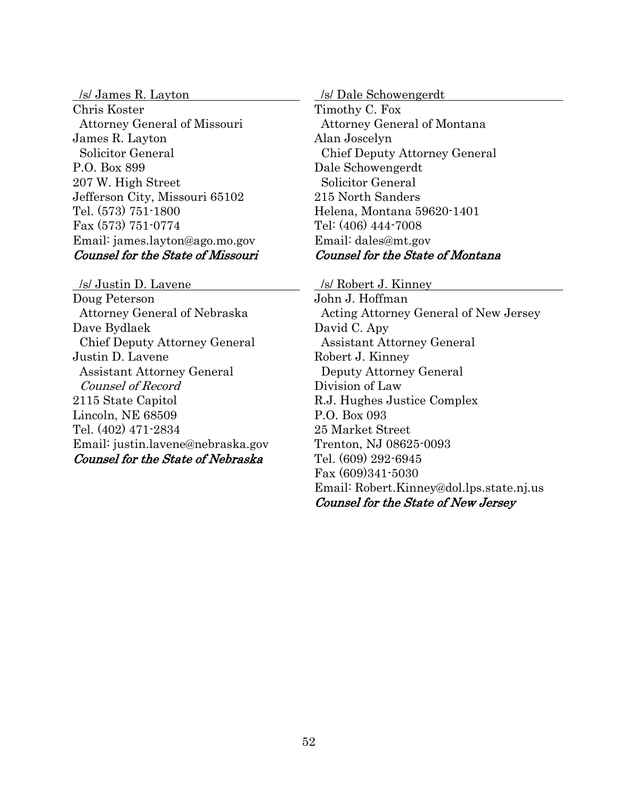/s/ James R. Layton Chris Koster Attorney General of Missouri James R. Layton Solicitor General P.O. Box 899 207 W. High Street Jefferson City, Missouri 65102 Tel. (573) 751-1800 Fax (573) 751-0774 Email: james.layton@ago.mo.gov Counsel for the State of Missouri

 /s/ Justin D. Lavene Doug Peterson Attorney General of Nebraska Dave Bydlaek Chief Deputy Attorney General Justin D. Lavene Assistant Attorney General Counsel of Record 2115 State Capitol Lincoln, NE 68509 Tel. (402) 471-2834 Email: justin.lavene@nebraska.gov Counsel for the State of Nebraska

/s/ Dale Schowengerdt

Timothy C. Fox Attorney General of Montana Alan Joscelyn Chief Deputy Attorney General Dale Schowengerdt Solicitor General 215 North Sanders Helena, Montana 59620-1401 Tel: (406) 444-7008 Email: dales@mt.gov Counsel for the State of Montana

/s/ Robert J. Kinney

John J. Hoffman Acting Attorney General of New Jersey David C. Apy Assistant Attorney General Robert J. Kinney Deputy Attorney General Division of Law R.J. Hughes Justice Complex P.O. Box 093 25 Market Street Trenton, NJ 08625-0093 Tel. (609) 292-6945 Fax (609)341-5030 Email: Robert.Kinney@dol.lps.state.nj.us Counsel for the State of New Jersey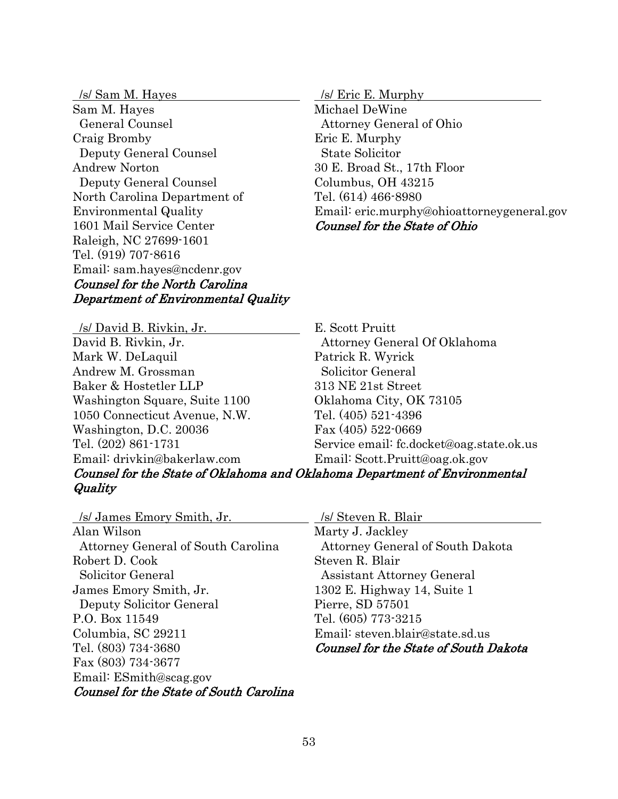/s/ Sam M. Hayes Sam M. Hayes General Counsel Craig Bromby Deputy General Counsel Andrew Norton Deputy General Counsel North Carolina Department of Environmental Quality 1601 Mail Service Center Raleigh, NC 27699-1601 Tel. (919) 707-8616 Email: sam.hayes@ncdenr.gov Counsel for the North Carolina Department of Environmental Quality

 /s/ David B. Rivkin, Jr. David B. Rivkin, Jr. Mark W. DeLaquil Andrew M. Grossman Baker & Hostetler LLP Washington Square, Suite 1100 1050 Connecticut Avenue, N.W. Washington, D.C. 20036 Tel. (202) 861-1731 Email: drivkin@bakerlaw.com

/s/ Eric E. Murphy

Michael DeWine Attorney General of Ohio Eric E. Murphy State Solicitor 30 E. Broad St., 17th Floor Columbus, OH 43215 Tel. (614) 466-8980 Email: eric.murphy@ohioattorneygeneral.gov Counsel for the State of Ohio

E. Scott Pruitt Attorney General Of Oklahoma Patrick R. Wyrick Solicitor General 313 NE 21st Street Oklahoma City, OK 73105 Tel. (405) 521-4396 Fax (405) 522-0669 Service email: fc.docket@oag.state.ok.us Email: Scott.Pruitt@oag.ok.gov

## Counsel for the State of Oklahoma and Oklahoma Department of Environmental **Quality**

 /s/ James Emory Smith, Jr. Alan Wilson Attorney General of South Carolina Robert D. Cook Solicitor General James Emory Smith, Jr. Deputy Solicitor General P.O. Box 11549 Columbia, SC 29211 Tel. (803) 734-3680 Fax (803) 734-3677 Email: ESmith@scag.gov Counsel for the State of South Carolina

/s/ Steven R. Blair

Marty J. Jackley Attorney General of South Dakota Steven R. Blair Assistant Attorney General 1302 E. Highway 14, Suite 1 Pierre, SD 57501 Tel. (605) 773-3215 Email: steven.blair@state.sd.us Counsel for the State of South Dakota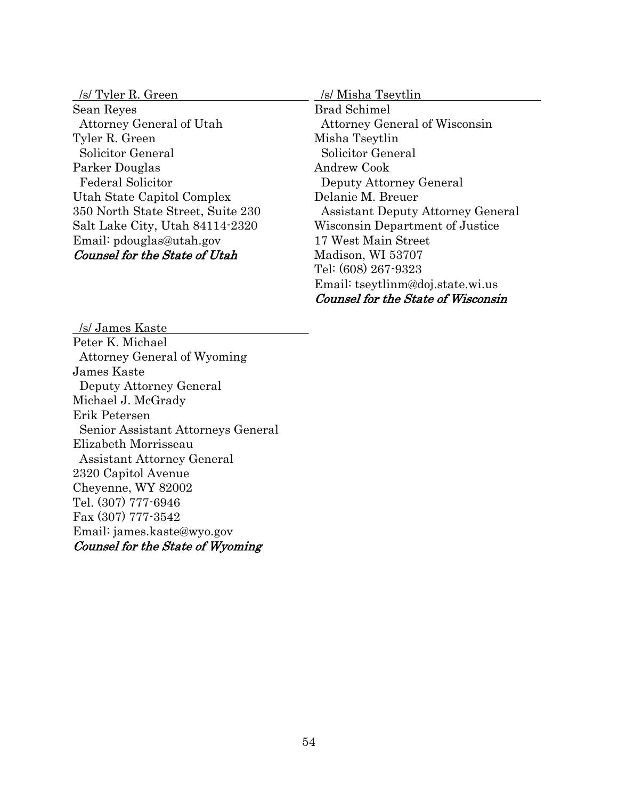| /s/ Tyler R. Green                   | /s/ Misha Tseytlin                       |
|--------------------------------------|------------------------------------------|
| Sean Reyes                           | <b>Brad Schimel</b>                      |
| Attorney General of Utah             | <b>Attorney General of Wisconsin</b>     |
| Tyler R. Green                       | Misha Tseytlin                           |
| Solicitor General                    | Solicitor General                        |
| Parker Douglas                       | Andrew Cook                              |
| <b>Federal Solicitor</b>             | Deputy Attorney General                  |
| Utah State Capitol Complex           | Delanie M. Breuer                        |
| 350 North State Street, Suite 230    | <b>Assistant Deputy Attorney General</b> |
| Salt Lake City, Utah 84114-2320      | Wisconsin Department of Justice          |
| Email: pdouglas@utah.gov             | 17 West Main Street                      |
| <b>Counsel for the State of Utah</b> | Madison, WI 53707                        |
|                                      | Tel: (608) 267-9323                      |
|                                      | Email: tseytlinm@doj.state.wi.us         |

Counsel for the State of Wisconsin

 /s/ James Kaste Peter K. Michael Attorney General of Wyoming James Kaste Deputy Attorney General Michael J. McGrady Erik Petersen Senior Assistant Attorneys General Elizabeth Morrisseau Assistant Attorney General 2320 Capitol Avenue Cheyenne, WY 82002 Tel. (307) 777-6946 Fax (307) 777-3542 Email: james.kaste@wyo.gov Counsel for the State of Wyoming